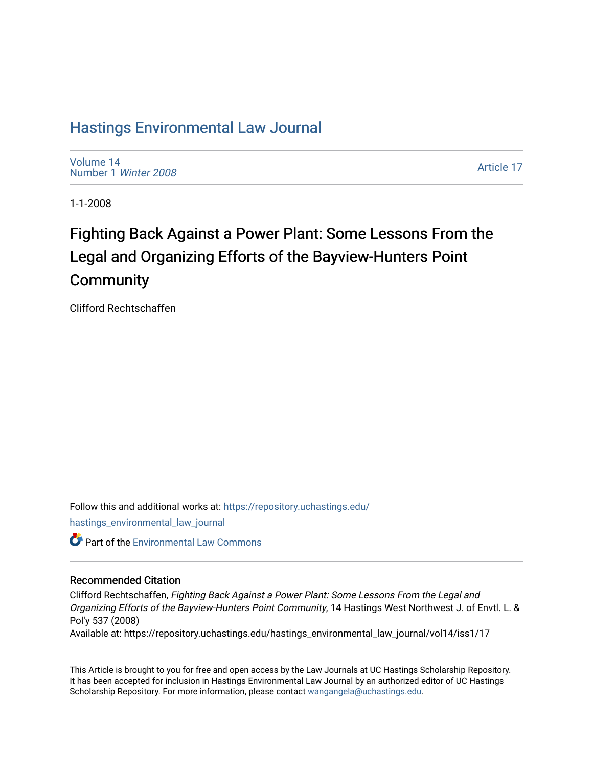# [Hastings Environmental Law Journal](https://repository.uchastings.edu/hastings_environmental_law_journal)

[Volume 14](https://repository.uchastings.edu/hastings_environmental_law_journal/vol14) [Number 1](https://repository.uchastings.edu/hastings_environmental_law_journal/vol14/iss1) Winter 2008

[Article 17](https://repository.uchastings.edu/hastings_environmental_law_journal/vol14/iss1/17) 

1-1-2008

# Fighting Back Against a Power Plant: Some Lessons From the Legal and Organizing Efforts of the Bayview-Hunters Point **Community**

Clifford Rechtschaffen

Follow this and additional works at: [https://repository.uchastings.edu/](https://repository.uchastings.edu/hastings_environmental_law_journal?utm_source=repository.uchastings.edu%2Fhastings_environmental_law_journal%2Fvol14%2Fiss1%2F17&utm_medium=PDF&utm_campaign=PDFCoverPages) [hastings\\_environmental\\_law\\_journal](https://repository.uchastings.edu/hastings_environmental_law_journal?utm_source=repository.uchastings.edu%2Fhastings_environmental_law_journal%2Fvol14%2Fiss1%2F17&utm_medium=PDF&utm_campaign=PDFCoverPages) 

Part of the [Environmental Law Commons](http://network.bepress.com/hgg/discipline/599?utm_source=repository.uchastings.edu%2Fhastings_environmental_law_journal%2Fvol14%2Fiss1%2F17&utm_medium=PDF&utm_campaign=PDFCoverPages)

# Recommended Citation

Clifford Rechtschaffen, Fighting Back Against a Power Plant: Some Lessons From the Legal and Organizing Efforts of the Bayview-Hunters Point Community, 14 Hastings West Northwest J. of Envtl. L. & Pol'y 537 (2008)

Available at: https://repository.uchastings.edu/hastings\_environmental\_law\_journal/vol14/iss1/17

This Article is brought to you for free and open access by the Law Journals at UC Hastings Scholarship Repository. It has been accepted for inclusion in Hastings Environmental Law Journal by an authorized editor of UC Hastings Scholarship Repository. For more information, please contact [wangangela@uchastings.edu.](mailto:wangangela@uchastings.edu)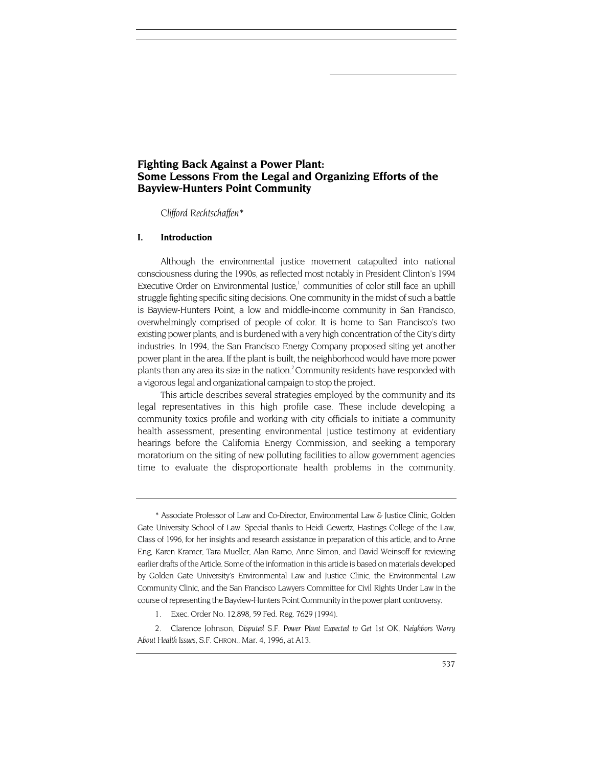# **Fighting Back Against a Power Plant: Some Lessons From the Legal and Organizing Efforts of the Bayview-Hunters Point Community**

 *Clifford Rechtschaffe[n\\*](#page-1-0)* 

#### **I. Introduction**

Although the environmental justice movement catapulted into national consciousness during the 1990s, as reflected most notably in President Clinton's 1994 Executive Order on Environmental Justice,<sup>1</sup> communities of color still face an uphill struggle fighting specific siting decisions. One community in the midst of such a battle is Bayview-Hunters Point, a low and middle-income community in San Francisco, overwhelmingly comprised of people of color. It is home to San Francisco's two existing power plants, and is burdened with a very high concentration of the City's dirty industries. In 1994, the San Francisco Energy Company proposed siting yet another power plant in the area. If the plant is built, the neighborhood would have more power plants than any area its size in the nation.<sup>2</sup> Community residents have responded with a vigorous legal and organizational campaign to stop the project.

This article describes several strategies employed by the community and its legal representatives in this high profile case. These include developing a community toxics profile and working with city officials to initiate a community health assessment, presenting environmental justice testimony at evidentiary hearings before the California Energy Commission, and seeking a temporary moratorium on the siting of new polluting facilities to allow government agencies time to evaluate the disproportionate health problems in the community.

<span id="page-1-0"></span><sup>\*</sup> Associate Professor of Law and Co-Director, Environmental Law & Justice Clinic, Golden Gate University School of Law. Special thanks to Heidi Gewertz, Hastings College of the Law, Class of 1996, for her insights and research assistance in preparation of this article, and to Anne Eng, Karen Kramer, Tara Mueller, Alan Ramo, Anne Simon, and David Weinsoff for reviewing earlier drafts of the Article. Some of the information in this article is based on materials developed by Golden Gate University's Environmental Law and Justice Clinic, the Environmental Law Community Clinic, and the San Francisco Lawyers Committee for Civil Rights Under Law in the course of representing the Bayview-Hunters Point Community in the power plant controversy.

<span id="page-1-1"></span><sup>1.</sup> Exec. Order No. 12,898, 59 Fed. Reg. 7629 (1994).

<span id="page-1-2"></span><sup>2.</sup> Clarence Johnson, *Disputed* S.F. *Power Plant Expected to Get 1st* OK, *Neighbors Worry About Health Issues,* S.F. CHRON., Mar. 4, 1996, at A13.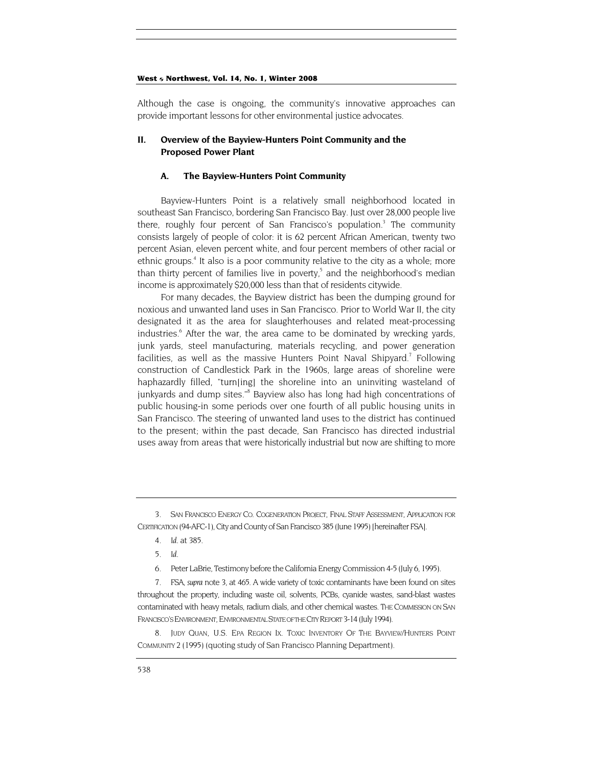Although the case is ongoing, the community's innovative approaches can provide important lessons for other environmental justice advocates.

## **II. Overview of the Bayview-Hunters Point Community and the Proposed Power Plant**

#### **A. The Bayview-Hunters Point Community**

Bayview-Hunters Point is a relatively small neighborhood located in southeast San Francisco, bordering San Francisco Bay. Just over 28,000 people live there,roughly four percent of San Francisco's population.<sup>3</sup> The community consists largely of people of color: it is 62 percent African American, twenty two percent Asian, eleven percent white, and four percent members of other racial or ethnic groups.<sup>4</sup> It also is a poor community relative to the city as a whole; more thanthirty percent of families live in poverty,<sup>5</sup> and the neighborhood's median income is approximately \$20,000 less than that of residents citywide.

For many decades, the Bayview district has been the dumping ground for noxious and unwanted land uses in San Francisco. Prior to World War II, the city designated it as the area for slaughterhouses and related meat-processing industries.<sup>6</sup> After the war, the area came to be dominated by wrecking yards, junk yards, steel manufacturing, materials recycling, and power generation facilities, as well as the massive Hunters Point Naval Shipyard.<sup>7</sup> Following construction of Candlestick Park in the 1960s, large areas of shoreline were haphazardly filled, "turn[ing] the shoreline into an uninviting wasteland of junkyardsand dump sites."<sup>8</sup> Bayview also has long had high concentrations of public housing-in some periods over one fourth of all public housing units in San Francisco. The steering of unwanted land uses to the district has continued to the present; within the past decade, San Francisco has directed industrial uses away from areas that were historically industrial but now are shifting to more

<span id="page-2-3"></span>6. Peter LaBrie, Testimony before the California Energy Commission 4-5 (July 6, 1995).

<span id="page-2-5"></span>8. JUDY QUAN, U.S. EPA REGION IX. TOXIC INVENTORY OF THE BAYVIEW/HUNTERS POINT COMMUNITY 2 (1995) (quoting study of San Francisco Planning Department).

<span id="page-2-0"></span><sup>3.</sup> SAN FRANCISCO ENERGY CO. COGENERATION PROJECT, FINAL STAFF ASSESSMENT, APPLICATION FOR CERTIFICATION (94-AFC-1), City and County of San Francisco 385 (June 1995) [hereinafter FSA].

<span id="page-2-1"></span><sup>4</sup>*. Id.* at 385.

<span id="page-2-2"></span><sup>5</sup>*. Id.*

<span id="page-2-4"></span><sup>7.</sup> FSA, *supra* note 3, at 465. A wide variety of toxic contaminants have been found on sites throughout the property, including waste oil, solvents, PCBs, cyanide wastes, sand-blast wastes contaminated with heavy metals, radium dials, and other chemical wastes. THE COMMISSION ON SAN FRANCISCO'S ENVIRONMENT, ENVIRONMENTAL STATE OF THE CITY REPORT 3-14 (July 1994).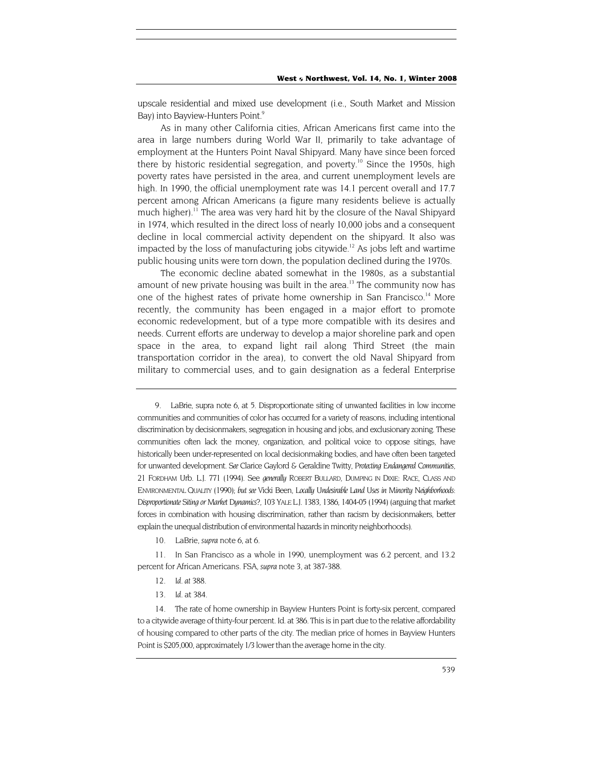upscale residential and mixed use development (i.e., South Market and Mission Bay) into Bayview-Hunters Point.<sup>[9](#page-3-0)</sup>

As in many other California cities, African Americans first came into the area in large numbers during World War II, primarily to take advantage of employment at the Hunters Point Naval Shipyard. Many have since been forced there by historic residential segregation, and poverty.<sup>10</sup> Since the 1950s, high poverty rates have persisted in the area, and current unemployment levels are high. In 1990, the official unemployment rate was 14.1 percent overall and 17.7 percent among African Americans (a figure many residents believe is actually much higher).<sup>11</sup> The area was very hard hit by the closure of the Naval Shipyard in 1974, which resulted in the direct loss of nearly 10,000 jobs and a consequent decline in local commercial activity dependent on the shipyard. It also was impacted by the loss of manufacturing jobs citywide.<sup>12</sup> As jobs left and wartime public housing units were torn down, the population declined during the 1970s.

The economic decline abated somewhat in the 1980s, as a substantial amount of new private housing was built in the area.<sup>13</sup> The community now has one of the highest rates of private home ownership in San Francisco.<sup>14</sup> More recently, the community has been engaged in a major effort to promote economic redevelopment, but of a type more compatible with its desires and needs. Current efforts are underway to develop a major shoreline park and open space in the area, to expand light rail along Third Street (the main transportation corridor in the area), to convert the old Naval Shipyard from military to commercial uses, and to gain designation as a federal Enterprise

- <span id="page-3-3"></span>12*. Id. at 388.*
- 13*. Id.* at 384.

<span id="page-3-0"></span><sup>9.</sup> LaBrie, supra note 6, at 5. Disproportionate siting of unwanted facilities in low income communities and communities of color has occurred for a variety of reasons, including intentional discrimination by decisionmakers, segregation in housing and jobs, and exclusionary zoning. These communities often lack the money, organization, and political voice to oppose sitings, have historically been under-represented on local decisionmaking bodies, and have often been targeted for unwanted development. *See* Clarice Gaylord & Geraldine Twitty, *Protecting Endangered Communities,*  21 FORDHAM Urb. L.J. 771 (1994). See *generally* ROBERT BULLARD, DUMPING IN DIXIE: RACE, CLASS AND ENVIRONMENTAL QUALITY (1990); *but see* Vicki Been, *Locally Undesirable Land Uses in Minority Neighborhoods: Disproportionate Siting or Market Dynamics?,* 103 YALE L.J. 1383, 1386, 1404-05 (1994) (arguing that market forces in combination with housing discrimination, rather than racism by decisionmakers, better explain the unequal distribution of environmental hazards in minority neighborhoods).

<sup>10.</sup> LaBrie, *supra* note 6, at 6.

<span id="page-3-2"></span><span id="page-3-1"></span><sup>11.</sup> In San Francisco as a whole in 1990, unemployment was 6.2 percent, and 13.2 percent for African Americans. FSA, *supra* note 3, at 387-388.

<span id="page-3-5"></span><span id="page-3-4"></span><sup>14.</sup> The rate of home ownership in Bayview Hunters Point is forty-six percent, compared to a citywide average of thirty-four percent. Id. at 386. This is in part due to the relative affordability of housing compared to other parts of the city. The median price of homes in Bayview Hunters Point is \$205,000, approximately 1/3 lower than the average home in the city.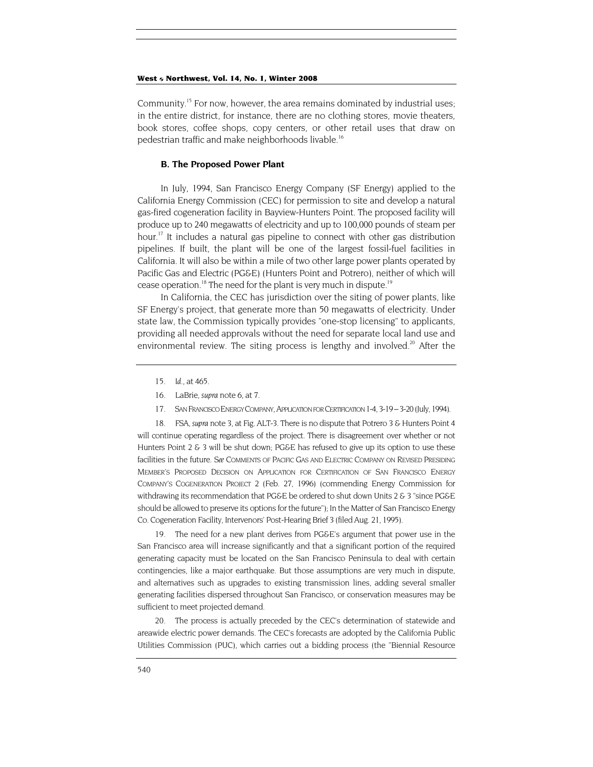<span id="page-4-5"></span>Community.[15 F](#page-4-0)or now, however, the area remains dominated by industrial uses; in the entire district, for instance, there are no clothing stores, movie theaters, book stores, coffee shops, copy centers, or other retail uses that draw on pedestrian traffic and make neighborhoods livable.<sup>[16](#page-4-1)</sup>

#### **B. The Proposed Power Plant**

In July, 1994, San Francisco Energy Company (SF Energy) applied to the California Energy Commission (CEC) for permission to site and develop a natural gas-fired cogeneration facility in Bayview-Hunters Point. The proposed facility will produce up to 240 megawatts of electricity and up to 100,000 pounds of steam per hour.<sup>17</sup> It includes a natural gas pipeline to connect with other gas distribution pipelines. If built, the plant will be one of the largest fossil-fuel facilities in California. It will also be within a mile of two other large power plants operated by Pacific Gas and Electric (PG&E) (Hunters Point and Potrero), neither of which will cease operation.<sup>18</sup> The need for the plant is very much in dispute.<sup>[19](#page-4-4)</sup>

In California, the CEC has jurisdiction over the siting of power plants, like SF Energy's project, that generate more than 50 megawatts of electricity. Under state law, the Commission typically provides "one-stop licensing" to applicants, providing all needed approvals without the need for separate local land use and environmental review. The siting process is lengthy and involved. $20$  After the

- <span id="page-4-0"></span>15*. Id.,* at 465.
- <span id="page-4-1"></span>16. LaBrie, *supra* note 6, at 7.
- 17. SAN FRANCISCO ENERGY COMPANY, APPLICATION FOR CERTIFICATION 1-4, 3-19 3-20 (July, 1994).

<span id="page-4-3"></span><span id="page-4-2"></span>18. FSA, *supra* note 3, at Fig. ALT-3. There is no dispute that Potrero 3 & Hunters Point 4 will continue operating regardless of the project. There is disagreement over whether or not Hunters Point 2 & 3 will be shut down; PG&E has refused to give up its option to use these facilities in the future. *See* COMMENTS OF PACIFIC GAS AND ELECTRIC COMPANY ON REVISED PRESIDING MEMBER'S PROPOSED DECISION ON APPLICATION FOR CERTIFICATION OF SAN FRANCISCO ENERGY COMPANY'S COGENERATION PROJECT 2 (Feb. 27, 1996) (commending Energy Commission for withdrawing its recommendation that PG&E be ordered to shut down Units  $2 \& 3$  "since PG&E should be allowed to preserve its options for the future"); In the Matter of San Francisco Energy Co. Cogeneration Facility, Intervenors' Post-Hearing Brief 3 (filed Aug. 21, 1995).

<span id="page-4-4"></span>19. The need for a new plant derives from PG&E's argument that power use in the San Francisco area will increase significantly and that a significant portion of the required generating capacity must be located on the San Francisco Peninsula to deal with certain contingencies, like a major earthquake. But those assumptions are very much in dispute, and alternatives such as upgrades to existing transmission lines, adding several smaller generating facilities dispersed throughout San Francisco, or conservation measures may be sufficient to meet projected demand.

20. The process is actually preceded by the CEC's determination of statewide and areawide electric power demands. The CEC's forecasts are adopted by the California Public Utilities Commission (PUC), which carries out a bidding process (the "Biennial Resource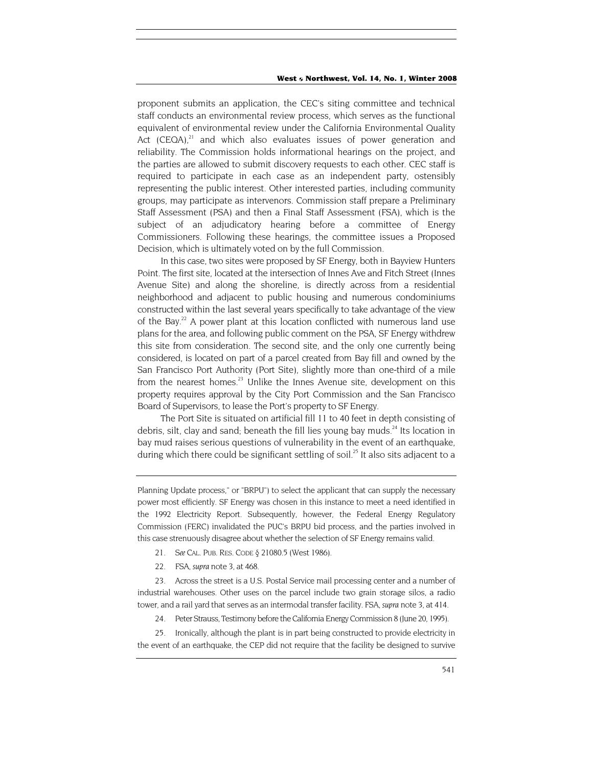<span id="page-5-4"></span>proponent submits an application, the CEC's siting committee and technical staff conducts an environmental review process, which serves as the functional equivalent of environmental review under the California Environmental Quality Act  $(CEQA)<sup>21</sup>$  and which also evaluates issues of power generation and reliability. The Commission holds informational hearings on the project, and the parties are allowed to submit discovery requests to each other. CEC staff is required to participate in each case as an independent party, ostensibly representing the public interest. Other interested parties, including community groups, may participate as intervenors. Commission staff prepare a Preliminary Staff Assessment (PSA) and then a Final Staff Assessment (FSA), which is the subject of an adjudicatory hearing before a committee of Energy Commissioners. Following these hearings, the committee issues a Proposed Decision, which is ultimately voted on by the full Commission.

In this case, two sites were proposed by SF Energy, both in Bayview Hunters Point. The first site, located at the intersection of Innes Ave and Fitch Street (Innes Avenue Site) and along the shoreline, is directly across from a residential neighborhood and adjacent to public housing and numerous condominiums constructed within the last several years specifically to take advantage of the view of the Bay.<sup>22</sup> A power plant at this location conflicted with numerous land use plans for the area, and following public comment on the PSA, SF Energy withdrew this site from consideration. The second site, and the only one currently being considered, is located on part of a parcel created from Bay fill and owned by the San Francisco Port Authority (Port Site), slightly more than one-third of a mile from the nearest homes. $23$  Unlike the Innes Avenue site, development on this property requires approval by the City Port Commission and the San Francisco Board of Supervisors, to lease the Port's property to SF Energy.

The Port Site is situated on artificial fill 11 to 40 feet in depth consisting of debris, silt, clay and sand; beneath the fill lies young bay muds.<sup>24</sup> Its location in bay mud raises serious questions of vulnerability in the event of an earthquake, during which there could be significant settling of soil.<sup>25</sup> It also sits adjacent to a

Planning Update process," or "BRPU") to select the applicant that can supply the necessary power most efficiently. SF Energy was chosen in this instance to meet a need identified in the 1992 Electricity Report. Subsequently, however, the Federal Energy Regulatory Commission (FERC) invalidated the PUC's BRPU bid process, and the parties involved in this case strenuously disagree about whether the selection of SF Energy remains valid.

- <span id="page-5-0"></span>21. *See* CAL. PUB. RES. CODE § 21080.5 (West 1986).
- 22. FSA, *supra* note 3, at 468.

<span id="page-5-2"></span><span id="page-5-1"></span>23. Across the street is a U.S. Postal Service mail processing center and a number of industrial warehouses. Other uses on the parcel include two grain storage silos, a radio tower, and a rail yard that serves as an intermodal transfer facility. FSA, *supra* note 3, at 414.

24. Peter Strauss, Testimony before the California Energy Commission 8 (June 20, 1995).

<span id="page-5-3"></span>25. Ironically, although the plant is in part being constructed to provide electricity in the event of an earthquake, the CEP did not require that the facility be designed to survive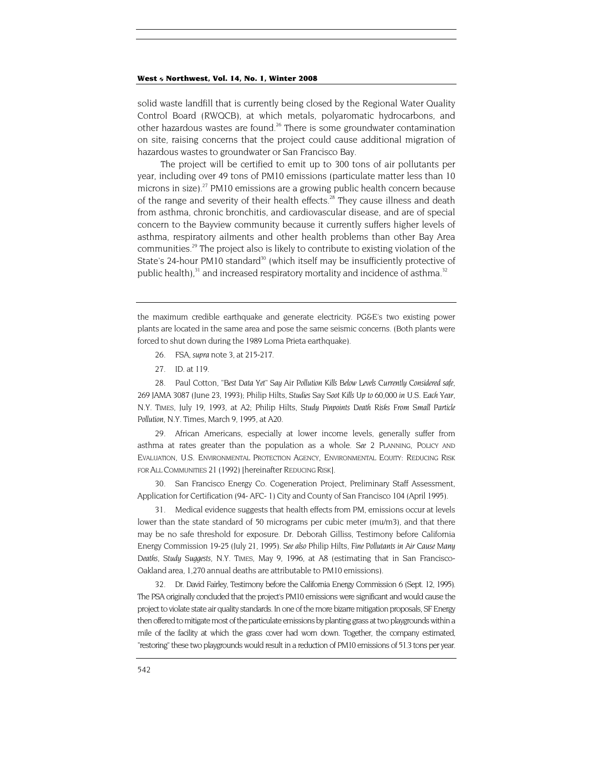<span id="page-6-6"></span>solid waste landfill that is currently being closed by the Regional Water Quality Control Board (RWQCB), at which metals, polyaromatic hydrocarbons, and other hazardous wastes are found.<sup>26</sup> There is some groundwater contamination on site, raising concerns that the project could cause additional migration of hazardous wastes to groundwater or San Francisco Bay.

The project will be certified to emit up to 300 tons of air pollutants per year, including over 49 tons of PM10 emissions (particulate matter less than 10 microns in size).<sup>27</sup> PM10 emissions are a growing public health concern because of the range and severity of their health effects.<sup>28</sup> They cause illness and death from asthma, chronic bronchitis, and cardiovascular disease, and are of special concern to the Bayview community because it currently suffers higher levels of asthma, respiratory ailments and other health problems than other Bay Area communities[.29](#page-6-3) The project also is likely to contribute to existing violation of the State's 24-hour PM10 standard<sup>30</sup> (which itself may be insufficiently protective of public health), $31$  and increased respiratory mortality and incidence of asthma.<sup>[32](#page-6-6)</sup>

the maximum credible earthquake and generate electricity. PG&E's two existing power plants are located in the same area and pose the same seismic concerns. (Both plants were forced to shut down during the 1989 Loma Prieta earthquake).

- <span id="page-6-0"></span>26. FSA, *supra* note 3, at 215-217.
- <span id="page-6-1"></span>27*. ID.* at 119.

<span id="page-6-2"></span>28. Paul Cotton, *"Best Data Yet" Say* Air *Pollution Kills Below Levels Currently Considered safe,* 269 JAMA 3087 (June 23, 1993); Philip Hilts, *Studies* Say *Soot Kills Up to 60,000 in U.S. Each Year, N.Y. TIMES*, July 19, 1993, at A2; Philip Hilts, *Study Pinpoints Death Risks From Small Particle Pollution,* N.Y. Times, March 9, 1995, at A20.

<span id="page-6-3"></span>29. African Americans, especially at lower income levels, generally suffer from asthma at rates greater than the population as a whole. *See* 2 PLANNING, POLICY AND EVALUATION, U.S. ENVIRONMENTAL PROTECTION AGENCY, ENVIRONMENTAL EQUITY: REDUCING RISK FOR ALL COMMUNITIES 21 (1992) [hereinafter REDUCING RISK].

<span id="page-6-4"></span>30. San Francisco Energy Co. Cogeneration Project, Preliminary Staff Assessment, Application for Certification (94- AFC- 1) City and County of San Francisco 104 (April 1995).

<span id="page-6-5"></span>31. Medical evidence suggests that health effects from PM, emissions occur at levels lower than the state standard of 50 micrograms per cubic meter (mu/m3), and that there may be no safe threshold for exposure. Dr. Deborah Gilliss, Testimony before California Energy Commission 19-25 (July 21, 1995). *See also* Philip Hilts, *Fine Pollutants in Air Cause Many Deaths, Study Suggests,* N.Y. TIMES, May 9, 1996, at A8 (estimating that in San Francisco-Oakland area, 1,270 annual deaths are attributable to PM10 emissions).

32. Dr. David Fairley, Testimony before the California Energy Commission 6 (Sept. 12, 1995). The PSA originally concluded that the project's PM10 emissions were significant and would cause the project to violate state air quality standards. In one of the more bizarre mitigation proposals, SF Energy then offered to mitigate most of the particulate emissions by planting grass at two playgrounds within a mile of the facility at which the grass cover had worn down. Together, the company estimated, "restoring" these two playgrounds would result in a reduction of PM10 emissions of 51.3 tons per year.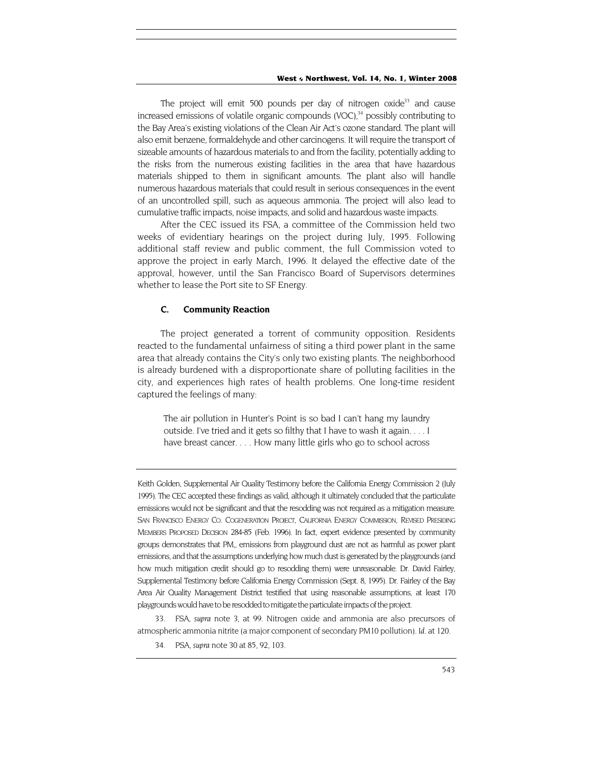The project will emit 500 pounds per day of nitrogen oxide<sup>33</sup> and cause increased emissions of volatile organic compounds (VOC), $34$  possibly contributing to the Bay Area's existing violations of the Clean Air Act's ozone standard. The plant will also emit benzene, formaldehyde and other carcinogens. It will require the transport of sizeable amounts of hazardous materials to and from the facility, potentially adding to the risks from the numerous existing facilities in the area that have hazardous materials shipped to them in significant amounts. The plant also will handle numerous hazardous materials that could result in serious consequences in the event of an uncontrolled spill, such as aqueous ammonia. The project will also lead to cumulative traffic impacts, noise impacts, and solid and hazardous waste impacts.

After the CEC issued its FSA, a committee of the Commission held two weeks of evidentiary hearings on the project during July, 1995. Following additional staff review and public comment, the full Commission voted to approve the project in early March, 1996. It delayed the effective date of the approval, however, until the San Francisco Board of Supervisors determines whether to lease the Port site to SF Energy.

#### **C. Community Reaction**

The project generated a torrent of community opposition. Residents reacted to the fundamental unfairness of siting a third power plant in the same area that already contains the City's only two existing plants. The neighborhood is already burdened with a disproportionate share of polluting facilities in the city, and experiences high rates of health problems. One long-time resident captured the feelings of many:

The air pollution in Hunter's Point is so bad I can't hang my laundry outside. I've tried and it gets so filthy that I have to wash it again. . . . I have breast cancer. . . . How many little girls who go to school across

Keith Golden, Supplemental Air Quality Testimony before the California Energy Commission 2 (July 1995). The CEC accepted these findings as valid, although it ultimately concluded that the particulate emissions would not be significant and that the resodding was not required as a mitigation measure. SAN FRANCISCO ENERGY CO. COGENERATION PROJECT, CALIFORNIA ENERGY COMMISSION, REVISED PRESIDING MEMBERS PROPOSED DECISION 284-85 (Feb. 1996). In fact, expert evidence presented by community groups demonstrates that PM,, emissions from playground dust are not as harmful as power plant emissions, and that the assumptions underlying how much dust is generated by the playgrounds (and how much mitigation credit should go to resodding them) were unreasonable. Dr. David Fairley, Supplemental Testimony before California Energy Commission (Sept. 8, 1995). Dr. Fairley of the Bay Area Air Quality Management District testified that using reasonable assumptions, at least 170 playgrounds would have to be resodded to mitigate the particulate impacts of the project.

<span id="page-7-0"></span>33. FSA, *supra* note 3, at 99. Nitrogen oxide and ammonia are also precursors of atmospheric ammonia nitrite (a major component of secondary PM10 pollution). *Id.* at 120.

<span id="page-7-1"></span>34. PSA, *supra* note 30 at 85, 92, 103.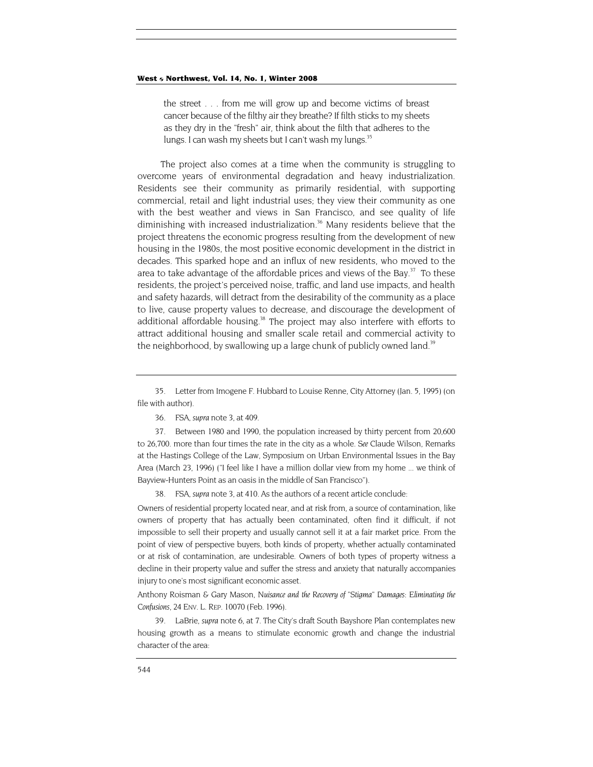<span id="page-8-4"></span>the street . . . from me will grow up and become victims of breast cancer because of the filthy air they breathe? If filth sticks to my sheets as they dry in the "fresh" air, think about the filth that adheres to the lungs. I can wash my sheets but I can't wash my lungs.<sup>35</sup>

The project also comes at a time when the community is struggling to overcome years of environmental degradation and heavy industrialization. Residents see their community as primarily residential, with supporting commercial, retail and light industrial uses; they view their community as one with the best weather and views in San Francisco, and see quality of life diminishing with increased industrialization.<sup>36</sup> Many residents believe that the project threatens the economic progress resulting from the development of new housing in the 1980s, the most positive economic development in the district in decades. This sparked hope and an influx of new residents, who moved to the area to take advantage of the affordable prices and views of the Bay. $37$  To these residents, the project's perceived noise, traffic, and land use impacts, and health and safety hazards, will detract from the desirability of the community as a place to live, cause property values to decrease, and discourage the development of additional affordable housing.<sup>38</sup> The project may also interfere with efforts to attract additional housing and smaller scale retail and commercial activity to the neighborhood, by swallowing up a large chunk of publicly owned land.<sup>39</sup>

<span id="page-8-1"></span>36. FSA, *supra* note 3, at 409.

<span id="page-8-2"></span>37. Between 1980 and 1990, the population increased by thirty percent from 20,600 to 26,700. more than four times the rate in the city as a whole. *See* Claude Wilson, Remarks at the Hastings College of the Law, Symposium on Urban Environmental Issues in the Bay Area (March 23, 1996) ("I feel like I have a million dollar view from my home ... we think of Bayview-Hunters Point as an oasis in the middle of San Francisco").

38. FSA, *supra* note 3, at 410. As the authors of a recent article conclude:

<span id="page-8-3"></span>Owners of residential property located near, and at risk from, a source of contamination, like owners of property that has actually been contaminated, often find it difficult, if not impossible to sell their property and usually cannot sell it at a fair market price. From the point of view of perspective buyers, both kinds of property, whether actually contaminated or at risk of contamination, are undesirable. Owners of both types of property witness a decline in their property value and suffer the stress and anxiety that naturally accompanies injury to one's most significant economic asset.

Anthony Roisman & Gary Mason, *Nuisance and the Recovery of "Stigma" Damages: Eliminating the Confusions,* 24 ENV. L. REP. 10070 (Feb. 1996).

39. LaBrie, *supra* note 6, at 7. The City's draft South Bayshore Plan contemplates new housing growth as a means to stimulate economic growth and change the industrial character of the area:

<span id="page-8-0"></span><sup>35.</sup> Letter from Imogene F. Hubbard to Louise Renne, City Attorney (Jan. 5, 1995) (on file with author).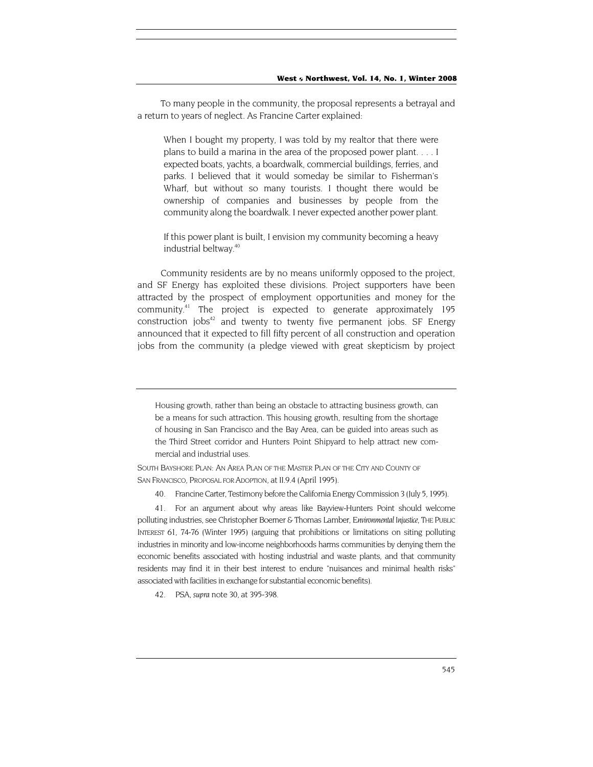To many people in the community, the proposal represents a betrayal and a return to years of neglect. As Francine Carter explained:

When I bought my property, I was told by my realtor that there were plans to build a marina in the area of the proposed power plant. . . . I expected boats, yachts, a boardwalk, commercial buildings, ferries, and parks. I believed that it would someday be similar to Fisherman's Wharf, but without so many tourists. I thought there would be ownership of companies and businesses by people from the community along the boardwalk. I never expected another power plant.

If this power plant is built, I envision my community becoming a heavy industrial beltway.<sup>[40](#page-9-0)</sup>

Community residents are by no means uniformly opposed to the project, and SF Energy has exploited these divisions. Project supporters have been attracted by the prospect of employment opportunities and money for the community[.41](#page-9-1) The project is expected to generate approximately 195 construction jobs $42$  and twenty to twenty five permanent jobs. SF Energy announced that it expected to fill fifty percent of all construction and operation jobs from the community (a pledge viewed with great skepticism by project

Housing growth, rather than being an obstacle to attracting business growth, can be a means for such attraction. This housing growth, resulting from the shortage of housing in San Francisco and the Bay Area, can be guided into areas such as the Third Street corridor and Hunters Point Shipyard to help attract new commercial and industrial uses.

SOUTH BAYSHORE PLAN: AN AREA PLAN OF THE MASTER PLAN OF THE CITY AND COUNTY OF SAN FRANCISCO, PROPOSAL FOR ADOPTION, at II.9.4 (April 1995).

<span id="page-9-0"></span>40. Francine Carter, Testimony before the California Energy Commission 3 (July 5, 1995).

<span id="page-9-1"></span>41. For an argument about why areas like Bayview-Hunters Point should welcome polluting industries, see Christopher Boerner & Thomas Lamber, *Environmental Injustice*, THE PUBLIC INTEREST 61, 74-76 (Winter 1995) (arguing that prohibitions or limitations on siting polluting industries in minority and low-income neighborhoods harms communities by denying them the economic benefits associated with hosting industrial and waste plants, and that community residents may find it in their best interest to endure "nuisances and minimal health risks" associated with facilities in exchange for substantial economic benefits).

<span id="page-9-2"></span>42. PSA, *supra* note 30, at 395-398.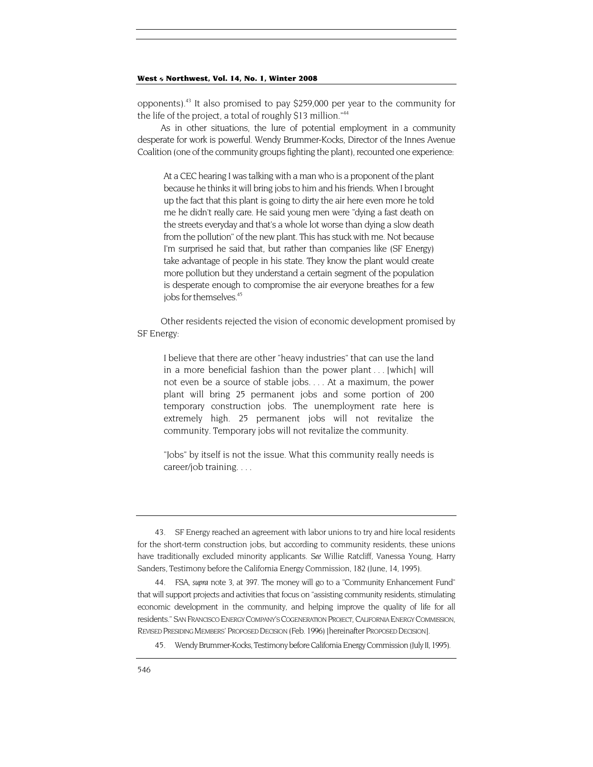opponents)[.43](#page-10-0) It also promised to pay \$259,000 per year to the community for the life of the project, a total of roughly \$13 million."<sup>[44](#page-10-1)</sup>

As in other situations, the lure of potential employment in a community desperate for work is powerful. Wendy Brummer-Kocks, Director of the Innes Avenue Coalition (one of the community groups fighting the plant), recounted one experience:

At a CEC hearing I was talking with a man who is a proponent of the plant because he thinks it will bring jobs to him and his friends. When I brought up the fact that this plant is going to dirty the air here even more he told me he didn't really care. He said young men were "dying a fast death on the streets everyday and that's a whole lot worse than dying a slow death from the pollution" of the new plant. This has stuck with me. Not because I'm surprised he said that, but rather than companies like (SF Energy) take advantage of people in his state. They know the plant would create more pollution but they understand a certain segment of the population is desperate enough to compromise the air everyone breathes for a few jobs for themselves.<sup>45</sup>

Other residents rejected the vision of economic development promised by SF Energy:

I believe that there are other "heavy industries" that can use the land in a more beneficial fashion than the power plant . . . [which] will not even be a source of stable jobs. . . . At a maximum, the power plant will bring 25 permanent jobs and some portion of 200 temporary construction jobs. The unemployment rate here is extremely high. 25 permanent jobs will not revitalize the community. Temporary jobs will not revitalize the community.

"Jobs" by itself is not the issue. What this community really needs is career/job training. . . .

<span id="page-10-0"></span><sup>43.</sup> SF Energy reached an agreement with labor unions to try and hire local residents for the short-term construction jobs, but according to community residents, these unions have traditionally excluded minority applicants. *See* Willie Ratcliff, Vanessa Young, Harry Sanders, Testimony before the California Energy Commission, 182 (June, 14, 1995).

<span id="page-10-1"></span><sup>44.</sup> FSA, *supra* note 3, at 397. The money will go to a "Community Enhancement Fund" that will support projects and activities that focus on "assisting community residents, stimulating economic development in the community, and helping improve the quality of life for all residents." SAN FRANCISCO ENERGY COMPANY'S COGENERATION PROJECT, CALIFORNIA ENERGY COMMISSION, REVISED PRESIDING MEMBERS' PROPOSED DECISION (Feb. 1996) [hereinafter PROPOSED DECISION].

<span id="page-10-2"></span><sup>45.</sup> Wendy Brummer-Kocks, Testimony before California Energy Commission (July II, 1995).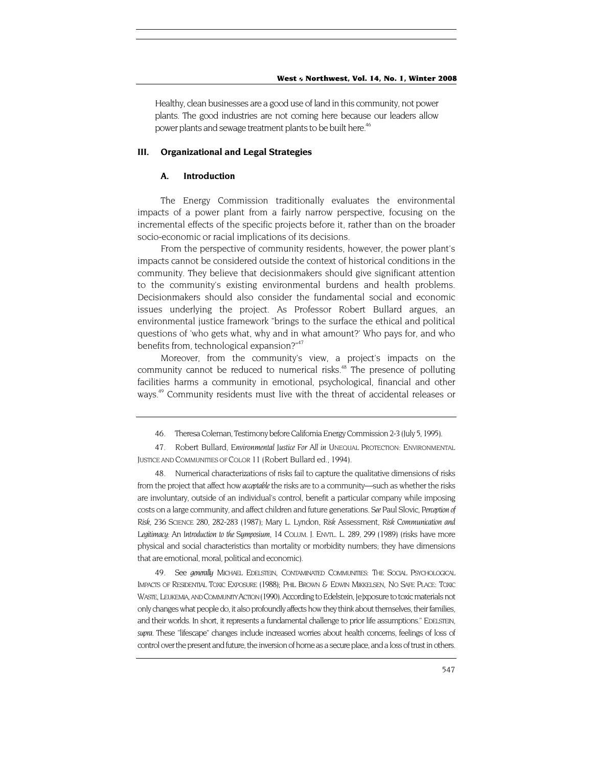<span id="page-11-3"></span>Healthy, clean businesses are a good use of land in this community, not power plants. The good industries are not coming here because our leaders allow power plants and sewage treatment plants to be built here.<sup>46</sup>

#### **III. Organizational and Legal Strategies**

#### **A. Introduction**

The Energy Commission traditionally evaluates the environmental impacts of a power plant from a fairly narrow perspective, focusing on the incremental effects of the specific projects before it, rather than on the broader socio-economic or racial implications of its decisions.

From the perspective of community residents, however, the power plant's impacts cannot be considered outside the context of historical conditions in the community. They believe that decisionmakers should give significant attention to the community's existing environmental burdens and health problems. Decisionmakers should also consider the fundamental social and economic issues underlying the project. As Professor Robert Bullard argues, an environmental justice framework "brings to the surface the ethical and political questions of 'who gets what, why and in what amount?' Who pays for, and who benefits from, technological expansion?"<sup>47</sup>

Moreover, from the community's view, a project's impacts on the community cannot be reduced to numerical risks.<sup>48</sup> The presence of polluting facilities harms a community in emotional, psychological, financial and other ways.<sup>49</sup> Community residents must live with the threat of accidental releases or

<span id="page-11-2"></span>48. Numerical characterizations of risks fail to capture the qualitative dimensions of risks from the project that affect how *acceptable* the risks are to a community—such as whether the risks are involuntary, outside of an individual's control, benefit a particular company while imposing costs on a large community, and affect children and future generations. *See* Paul Slovic, *Perception of Risk,* 236 SCIENCE 280, 282-283 (1987); Mary L. Lyndon, *Risk* Assessment, *Risk Communication and Legitimacy:* An *Introduction to the Symposium*, 14 COLUM. J. ENVTL. L. 289, 299 (1989) (risks have more physical and social characteristics than mortality or morbidity numbers; they have dimensions that are emotional, moral, political and economic).

49. See *generally* MICHAEL EDELSTEIN, CONTAMINATED COMMUNITIES: THE SOCIAL PSYCHOLOGICAL IMPACTS OF RESIDENTIAL TOXIC EXPOSURE (1988); PHIL BROWN & EDWIN MIKKELSEN, NO SAFE PLACE: TOXIC WASTE, LEUKEMIA, AND COMMUNITY ACTION (1990). According to Edelstein, [e]xposure to toxic materials not only changes what people do, it also profoundly affects how they think about themselves, their families, and their worlds. In short, it represents a fundamental challenge to prior life assumptions." EDELSTEIN, *supra.* These "lifescape" changes include increased worries about health concerns, feelings of loss of control over the present and future, the inversion of home as a secure place, and a loss of trust in others.

<sup>46.</sup> Theresa Coleman, Testimony before California Energy Commission 2-3 (July 5, 1995).

<span id="page-11-1"></span><span id="page-11-0"></span><sup>47.</sup> Robert Bullard, *Environmental Justice For All in* UNEQUAL PROTECTION: ENVIRONMENTAL JUSTICE AND COMMUNITIES OF COLOR 11 (Robert Bullard ed., 1994).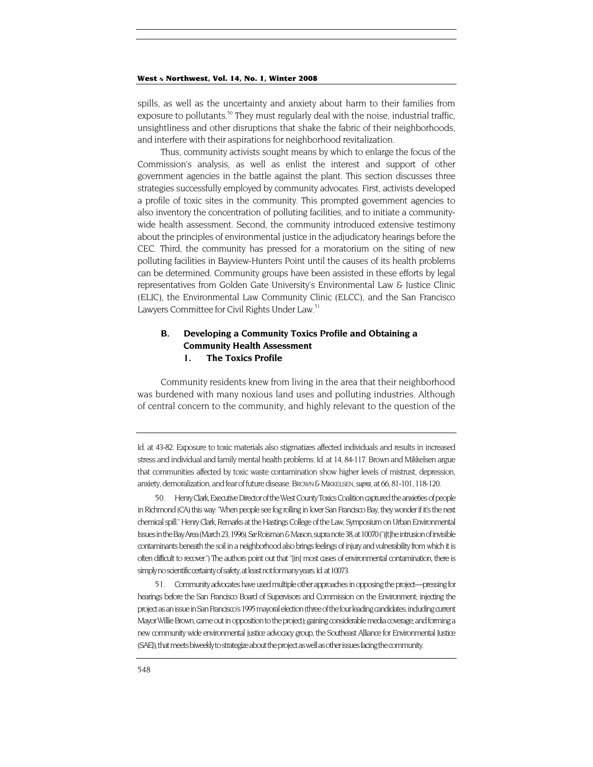spills, as well as the uncertainty and anxiety about harm to their families from exposure to pollutants.<sup>50</sup> They must regularly deal with the noise, industrial traffic, unsightliness and other disruptions that shake the fabric of their neighborhoods, and interfere with their aspirations for neighborhood revitalization.

Thus, community activists sought means by which to enlarge the focus of the Commission's analysis, as well as enlist the interest and support of other government agencies in the battle against the plant. This section discusses three strategies successfully employed by community advocates. First, activists developed a profile of toxic sites in the community. This prompted government agencies to also inventory the concentration of polluting facilities, and to initiate a communitywide health assessment. Second, the community introduced extensive testimony about the principles of environmental justice in the adjudicatory hearings before the CEC. Third, the community has pressed for a moratorium on the siting of new polluting facilities in Bayview-Hunters Point until the causes of its health problems can be determined. Community groups have been assisted in these efforts by legal representatives from Golden Gate University's Environmental Law & Justice Clinic (ELJC), the Environmental Law Community Clinic (ELCC), and the San Francisco Lawyers Committee for Civil Rights Under Law.<sup>51</sup>

# **B. Developing a Community Toxics Profile and Obtaining a Community Health Assessment**

## **1. The Toxics Profile**

Community residents knew from living in the area that their neighborhood was burdened with many noxious land uses and polluting industries. Although of central concern to the community, and highly relevant to the question of the

Id. at 43-82. Exposure to toxic materials also stigmatizes affected individuals and results in increased stress and individual and family mental health problems. Id. at 14, 84-117. Brown and Mikkelsen argue that communities affected by toxic waste contamination show higher levels of mistrust, depression, anxiety, demoralization, and fear of future disease. BROWN & MIKKELSEN, *supra,* at 66, 81-101, 118-120.

<span id="page-12-0"></span>50. Henry Clark, Executive Director of the West County Toxics Coalition captured the anxieties of people in Richmond (CA) this way: "When people see fog rolling in lover San Francisco Bay, they wonder if it's the next chemical spill." Henry Clark, Remarks at the Hastings College of the Law, Symposium on Urban Environmental Issues in the Bay Area (March 23, 1996). *See* Roisman & Mason, supra note 38, at 10070 (")[t]he intrusion of invisible contaminants beneath the soil in a neighborhood also brings feelings of injury and vulnerability from which it is often difficult to recover.") The authors point out that "[in] most cases of environmental contamination, there is simply no scientific certainty of safety, at least not for many years. Id. at 10073.

<span id="page-12-1"></span>51. Community advocates have used multiple other approaches in opposing the project—pressing for hearings before the San Francisco Board of Supervisors and Commission on the Environment; injecting the project as an issue in San Francisco's 1995 mayoral election (three of the four leading candidates, including current Mayor Willie Brown, came out in opposition to the project); gaining considerable media coverage; and forming a new community wide environmental justice advocacy group, the Southeast Alliance for Environmental Justice (SAEJ), that meets biweekly to strategize about the project as well as other issues facing the community.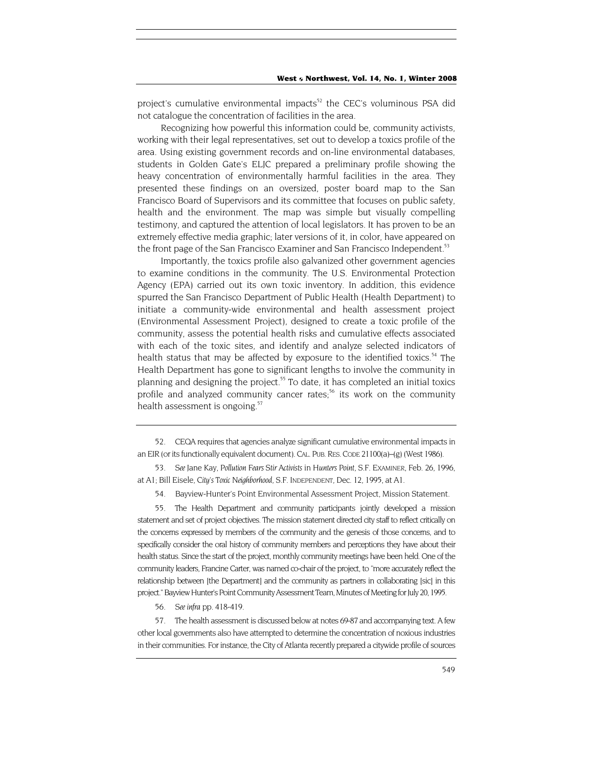<span id="page-13-5"></span>project's cumulative environmental impacts<sup>52</sup> the CEC's voluminous PSA did not catalogue the concentration of facilities in the area.

Recognizing how powerful this information could be, community activists, working with their legal representatives, set out to develop a toxics profile of the area. Using existing government records and on-line environmental databases, students in Golden Gate's ELJC prepared a preliminary profile showing the heavy concentration of environmentally harmful facilities in the area. They presented these findings on an oversized, poster board map to the San Francisco Board of Supervisors and its committee that focuses on public safety, health and the environment. The map was simple but visually compelling testimony, and captured the attention of local legislators. It has proven to be an extremely effective media graphic; later versions of it, in color, have appeared on the front page of the San Francisco Examiner and San Francisco Independent.<sup>53</sup>

Importantly, the toxics profile also galvanized other government agencies to examine conditions in the community. The U.S. Environmental Protection Agency (EPA) carried out its own toxic inventory. In addition, this evidence spurred the San Francisco Department of Public Health (Health Department) to initiate a community-wide environmental and health assessment project (Environmental Assessment Project), designed to create a toxic profile of the community, assess the potential health risks and cumulative effects associated with each of the toxic sites, and identify and analyze selected indicators of health status that may be affected by exposure to the identified toxics.<sup>54</sup> The Health Department has gone to significant lengths to involve the community in planning and designing the project.<sup>55</sup> To date, it has completed an initial toxics profile and analyzed community cancer rates;<sup>56</sup> its work on the community health assessment is ongoing.<sup>[57](#page-13-5)</sup>

<span id="page-13-0"></span>52. CEQA requires that agencies analyze significant cumulative environmental impacts in an EIR (or its functionally equivalent document). CAL. PUB. RES. CODE 21100(a)–(g) (West 1986).

<span id="page-13-1"></span>53*. See* Jane Kay, *Pollution Fears Stir Activists* in *Hunters Point,* S.F. EXAMINER, Feb. 26, 1996, at A1; Bill Eisele, *City's Toxic Neighborhood,* S.F. INDEPENDENT, Dec. 12, 1995, at A1.

<span id="page-13-2"></span>54. Bayview-Hunter's Point Environmental Assessment Project, Mission Statement.

<span id="page-13-3"></span>55. The Health Department and community participants jointly developed a mission statement and set of project objectives. The mission statement directed city staff to reflect critically on the concerns expressed by members of the community and the genesis of those concerns, and to specifically consider the oral history of community members and perceptions they have about their health status. Since the start of the project, monthly community meetings have been held. One of the community leaders, Francine Carter, was named co-chair of the project, to "more accurately reflect the relationship between [the Department] and the community as partners in collaborating [sic] in this project." Bayview Hunter's Point Community Assessment Team, Minutes of Meeting for July 20, 1995.

<span id="page-13-4"></span>56*. See infra* pp. 418-419.

57. The health assessment is discussed below at notes 69-87 and accompanying text. A few other local governments also have attempted to determine the concentration of noxious industries in their communities. For instance, the City of Atlanta recently prepared a citywide profile of sources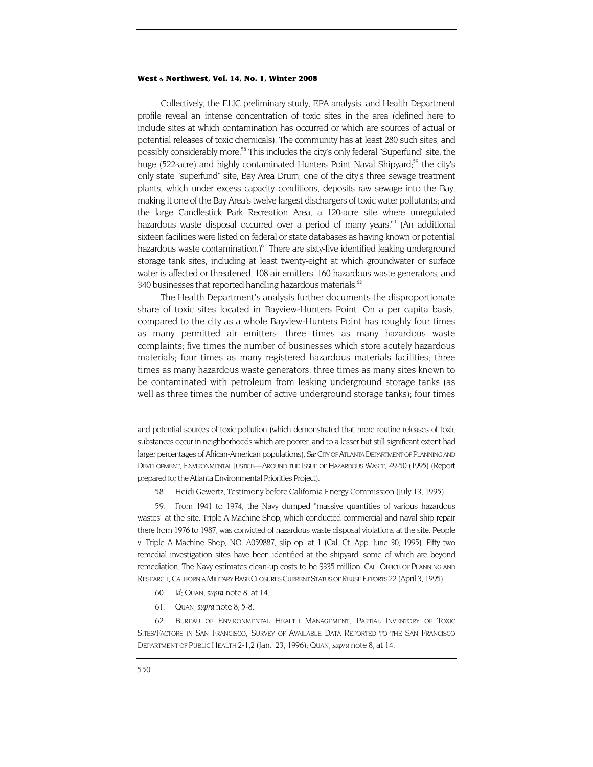Collectively, the ELJC preliminary study, EPA analysis, and Health Department profile reveal an intense concentration of toxic sites in the area (defined here to include sites at which contamination has occurred or which are sources of actual or potential releases of toxic chemicals). The community has at least 280 such sites, and possibly considerably more.<sup>58</sup> This includes the city's only federal "Superfund" site, the huge (522-acre) and highly contaminated Hunters Point Naval Shipyard;<sup>59</sup> the city's only state "superfund" site, Bay Area Drum; one of the city's three sewage treatment plants, which under excess capacity conditions, deposits raw sewage into the Bay, making it one of the Bay Area's twelve largest dischargers of toxic water pollutants; and the large Candlestick Park Recreation Area, a 120-acre site where unregulated hazardous waste disposal occurred over a period of many years.<sup>60</sup> (An additional sixteen facilities were listed on federal or state databases as having known or potential hazardous waste contamination.)<sup>61</sup> There are sixty-five identified leaking underground storage tank sites, including at least twenty-eight at which groundwater or surface water is affected or threatened, 108 air emitters, 160 hazardous waste generators, and 340 businesses that reported handling hazardous materials.<sup>62</sup>

The Health Department's analysis further documents the disproportionate share of toxic sites located in Bayview-Hunters Point. On a per capita basis, compared to the city as a whole Bayview-Hunters Point has roughly four times as many permitted air emitters; three times as many hazardous waste complaints; five times the number of businesses which store acutely hazardous materials; four times as many registered hazardous materials facilities; three times as many hazardous waste generators; three times as many sites known to be contaminated with petroleum from leaking underground storage tanks (as well as three times the number of active underground storage tanks); four times

and potential sources of toxic pollution (which demonstrated that more routine releases of toxic substances occur in neighborhoods which are poorer, and to a lesser but still significant extent had larger percentages of African-American populations), *See* CITY OF ATLANTA DEPARTMENT OF PLANNING AND DEVELOPMENT, ENVIRONMENTAL JUSTICE—AROUND THE ISSUE OF HAZARDOUS WASTE, 49-50 (1995) (Report prepared for the Atlanta Environmental Priorities Project).

58. Heidi Gewertz, Testimony before California Energy Commission (July 13, 1995).

<span id="page-14-1"></span><span id="page-14-0"></span>59. From 1941 to 1974, the Navy dumped "massive quantities of various hazardous wastes" at the site. Triple A Machine Shop, which conducted commercial and naval ship repair there from 1976 to 1987, was convicted of hazardous waste disposal violations at the site. People v. Triple A Machine Shop, NO. A059887, slip op. at 1 (Cal. Ct. App. June 30, 1995). Fifty two remedial investigation sites have been identified at the shipyard, some of which are beyond remediation. The Navy estimates clean-up costs to be \$335 million. CAL. OFFICE OF PLANNING AND RESEARCH, CALIFORNIA MILITARY BASE CLOSURES CURRENT STATUS OF REUSE EFFORTS 22 (April 3, 1995).

- <span id="page-14-2"></span>60*. Id;* QUAN, *supra* note 8, at 14.
- <span id="page-14-3"></span>61. QUAN, *supra* note 8, 5-8.

<span id="page-14-4"></span>62. BUREAU OF ENVIRONMENTAL HEALTH MANAGEMENT, PARTIAL INVENTORY OF TOXIC SITES/FACTORS IN SAN FRANCISCO, SURVEY OF AVAILABLE DATA REPORTED TO THE SAN FRANCISCO DEPARTMENT OF PUBLIC HEALTH 2-1,2 (Jan. 23, 1996); QUAN, *supra* note 8, at 14.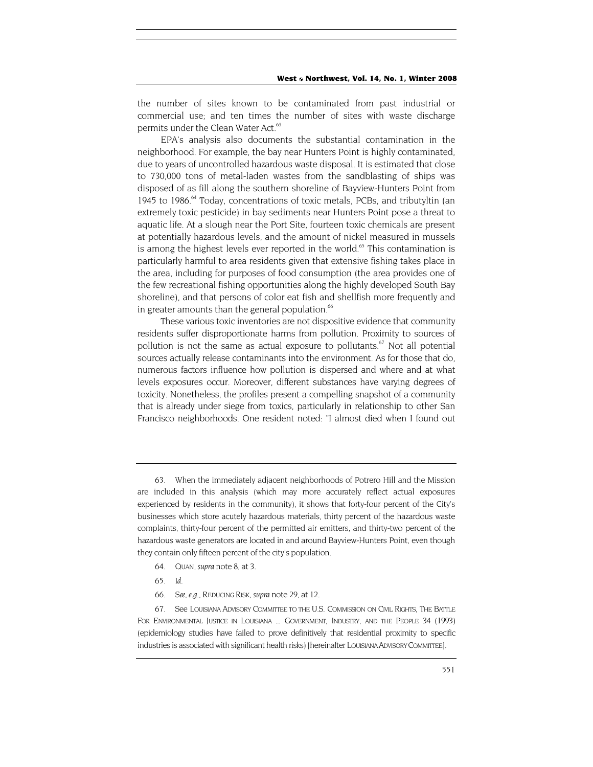the number of sites known to be contaminated from past industrial or commercial use; and ten times the number of sites with waste discharge permits under the Clean Water Act.<sup>[63](#page-15-0)</sup>

EPA's analysis also documents the substantial contamination in the neighborhood. For example, the bay near Hunters Point is highly contaminated, due to years of uncontrolled hazardous waste disposal. It is estimated that close to 730,000 tons of metal-laden wastes from the sandblasting of ships was disposed of as fill along the southern shoreline of Bayview-Hunters Point from 1945 to 1986.<sup>64</sup> Today, concentrations of toxic metals, PCBs, and tributyltin (an extremely toxic pesticide) in bay sediments near Hunters Point pose a threat to aquatic life. At a slough near the Port Site, fourteen toxic chemicals are present at potentially hazardous levels, and the amount of nickel measured in mussels is among the highest levels ever reported in the world.<sup>65</sup> This contamination is particularly harmful to area residents given that extensive fishing takes place in the area, including for purposes of food consumption (the area provides one of the few recreational fishing opportunities along the highly developed South Bay shoreline), and that persons of color eat fish and shellfish more frequently and in greater amounts than the general population. $66$ 

These various toxic inventories are not dispositive evidence that community residents suffer disproportionate harms from pollution. Proximity to sources of pollution is not the same as actual exposure to pollutants. $67$  Not all potential sources actually release contaminants into the environment. As for those that do, numerous factors influence how pollution is dispersed and where and at what levels exposures occur. Moreover, different substances have varying degrees of toxicity. Nonetheless, the profiles present a compelling snapshot of a community that is already under siege from toxics, particularly in relationship to other San Francisco neighborhoods. One resident noted: "I almost died when I found out

<span id="page-15-0"></span>63. When the immediately adjacent neighborhoods of Potrero Hill and the Mission are included in this analysis (which may more accurately reflect actual exposures experienced by residents in the community), it shows that forty-four percent of the City's businesses which store acutely hazardous materials, thirty percent of the hazardous waste complaints, thirty-four percent of the permitted air emitters, and thirty-two percent of the hazardous waste generators are located in and around Bayview-Hunters Point, even though they contain only fifteen percent of the city's population.

- <span id="page-15-1"></span>64. QUAN, *supra* note 8, at 3.
- <span id="page-15-2"></span>65*. Id.*
- <span id="page-15-3"></span>66*. See, e.g.,* REDUCING RISK, *supra* note 29, at 12.

<span id="page-15-4"></span>67. See LOUISIANA ADVISORY COMMITTEE TO THE U.S. COMMISSION ON CIVIL RIGHTS, THE BATTLE FOR ENVIRONMENTAL JUSTICE IN LOUISIANA ... GOVERNMENT, INDUSTRY, AND THE PEOPLE 34 (1993) (epidemiology studies have failed to prove definitively that residential proximity to specific industries is associated with significant health risks) [hereinafter LOUISIANA ADVISORY COMMITTEE].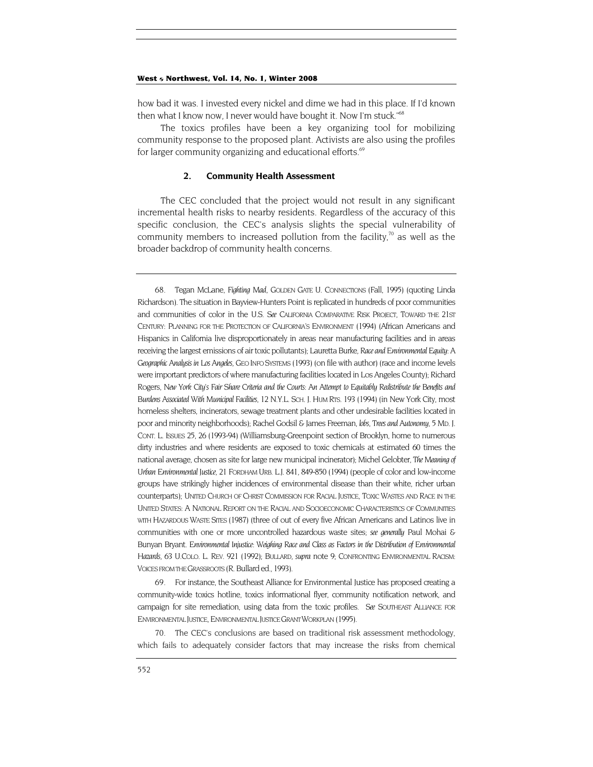<span id="page-16-2"></span>how bad it was. I invested every nickel and dime we had in this place. If I'd known then what I know now, I never would have bought it. Now I'm stuck."<sup>68</sup>

The toxics profiles have been a key organizing tool for mobilizing community response to the proposed plant. Activists are also using the profiles for larger community organizing and educational efforts.<sup>69</sup>

#### **2. Community Health Assessment**

The CEC concluded that the project would not result in any significant incremental health risks to nearby residents. Regardless of the accuracy of this specific conclusion, the CEC's analysis slights the special vulnerability of community members to increased pollution from the facility, $\frac{70}{10}$  as well as the broader backdrop of community health concerns.

<span id="page-16-0"></span>68. Tegan McLane, *Fighting Mad*, GOLDEN GATE U. CONNECTIONS (Fall, 1995) (quoting Linda Richardson). The situation in Bayview-Hunters Point is replicated in hundreds of poor communities and communities of color in the U.S. *See* CALIFORNIA COMPARATIVE RISK PROJECT, TOWARD THE 21ST CENTURY: PLANNING FOR THE PROTECTION OF CALIFORNIA'S ENVIRONMENT (1994) (African Americans and Hispanics in California live disproportionately in areas near manufacturing facilities and in areas receiving the largest emissions of air toxic pollutants); Lauretta Burke, *Race and Environmental Equity*: A *Geographic Analysis in Los Angeles,* GEO INFO SYSTEMS (1993) (on file with author) (race and income levels were important predictors of where manufacturing facilities located in Los Angeles County); Richard Rogers, *New York City's Fair Share Criteria and the Courts: An Attempt to Equitably Redistribute the Benefits and Burdens Associated With Municipal Facilities,* 12 N.Y.L. SCH. J. HUM RTS. 193 (1994) (in New York City, most homeless shelters, incinerators, sewage treatment plants and other undesirable facilities located in poor and minority neighborhoods); Rachel Godsil & James Freeman, *lobs, Trees and Autonomy,* 5 MD. J. CONT. L. ISSUES 25, 26 (1993-94) (Williamsburg-Greenpoint section of Brooklyn, home to numerous dirty industries and where residents are exposed to toxic chemicals at estimated 60 times the national average, chosen as site for large new municipal incinerator); Michel Gelobter, *The Meaning of Urban Environmental Justice,* 21 FORDHAM URB. L.J. 841, 849-850 (1994) (people of color and low-income groups have strikingly higher incidences of environmental disease than their white, richer urban counterparts); UNITED CHURCH OF CHRIST COMMISSION FOR RACIAL JUSTICE, TOXIC WASTES AND RACE IN THE UNITED STATES: A NATIONAL REPORT ON THE RACIAL AND SOCIOECONOMIC CHARACTERISTICS OF COMMUNITIES WITH HAZARDOUS WASTE SITES (1987) (three of out of every five African Americans and Latinos live in communities with one or more uncontrolled hazardous waste sites; *see generally* Paul Mohai & Bunyan Bryant. *Environmental Injustice: Weighing Race and Class as Factors in the Distribution of Environmental Hazards*, 63 U.COLO. L. REV. 921 (1992); BULLARD, *supra* note 9; CONFRONTING ENVIRONMENTAL RACISM: VOICES FROM THE GRASSROOTS (R. Bullard ed., 1993).

<span id="page-16-1"></span>For instance, the Southeast Alliance for Environmental Justice has proposed creating a community-wide toxics hotline, toxics informational flyer, community notification network, and campaign for site remediation, using data from the toxic profiles. *See* SOUTHEAST ALLIANCE FOR ENVIRONMENTAL JUSTICE, ENVIRONMENTAL JUSTICE GRANT WORKPLAN (1995).

70. The CEC's conclusions are based on traditional risk assessment methodology, which fails to adequately consider factors that may increase the risks from chemical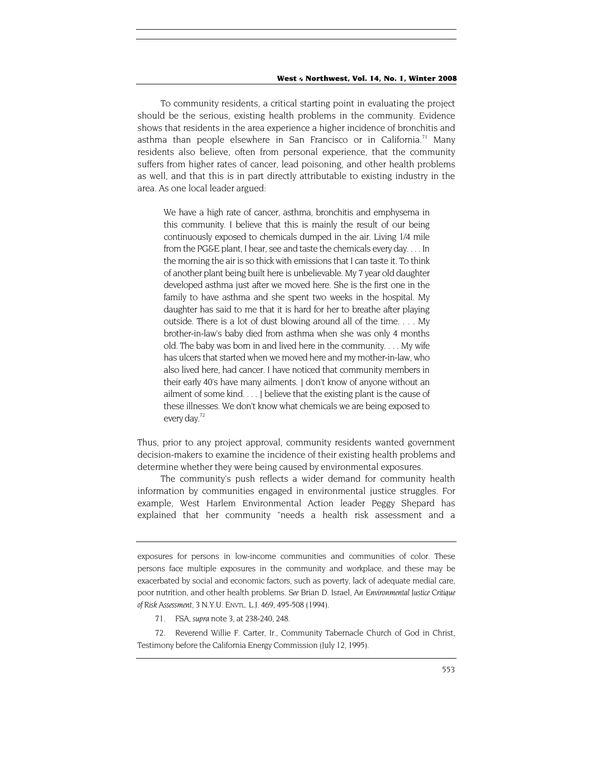To community residents, a critical starting point in evaluating the project should be the serious, existing health problems in the community. Evidence shows that residents in the area experience a higher incidence of bronchitis and asthma than people elsewhere in San Francisco or in California.<sup>71</sup> Many residents also believe, often from personal experience, that the community suffers from higher rates of cancer, lead poisoning, and other health problems as well, and that this is in part directly attributable to existing industry in the area. As one local leader argued:

We have a high rate of cancer, asthma, bronchitis and emphysema in this community. I believe that this is mainly the result of our being continuously exposed to chemicals dumped in the air. Living 1/4 mile from the PG&E plant, I hear, see and taste the chemicals every day. . . . In the morning the air is so thick with emissions that I can taste it. To think of another plant being built here is unbelievable. My 7 year old daughter developed asthma just after we moved here. She is the first one in the family to have asthma and she spent two weeks in the hospital. My daughter has said to me that it is hard for her to breathe after playing outside. There is a lot of dust blowing around all of the time. . . . My brother-in-law's baby died from asthma when she was only 4 months old. The baby was born in and lived here in the community. . . . My wife has ulcers that started when we moved here and my mother-in-law, who also lived here, had cancer. I have noticed that community members in their early 40's have many ailments. ] don't know of anyone without an ailment of some kind. . . . ] believe that the existing plant is the cause of these illnesses. We don't know what chemicals we are being exposed to every day.<sup>72</sup>

Thus, prior to any project approval, community residents wanted government decision-makers to examine the incidence of their existing health problems and determine whether they were being caused by environmental exposures.

The community's push reflects a wider demand for community health information by communities engaged in environmental justice struggles. For example, West Harlem Environmental Action leader Peggy Shepard has explained that her community "needs a health risk assessment and a

71. FSA, *supra* note 3, at 238-240, 248.

<span id="page-17-1"></span><span id="page-17-0"></span>72. Reverend Willie F. Carter, Ir., Community Tabernacle Church of God in Christ, Testimony before the California Energy Commission (July 12, 1995).

exposures for persons in low-income communities and communities of color. These persons face multiple exposures in the community and workplace, and these may be exacerbated by social and economic factors, such as poverty, lack of adequate medial care, poor nutrition, and other health problems. *See* Brian D. Israel, *An Environmental Justice Critique of Risk Assessment,* 3 N.Y.U. ENVTL. L.J. 469, 495-508 (1994).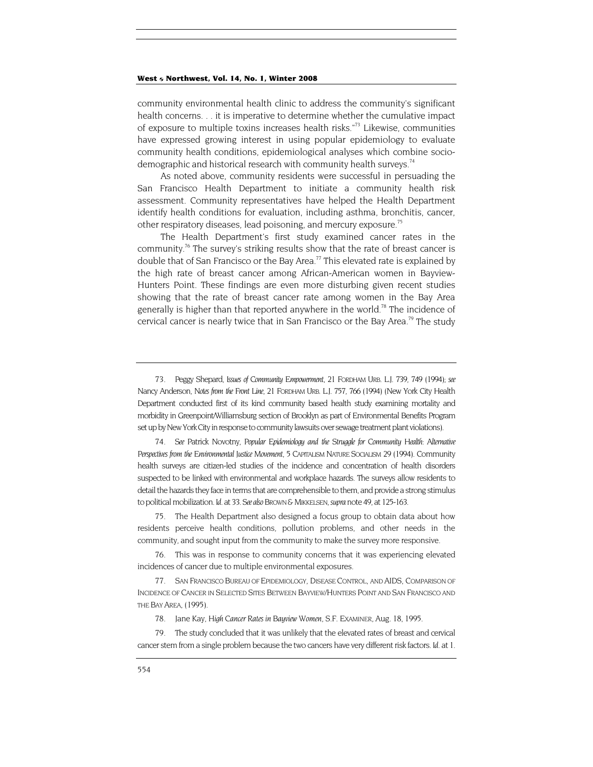<span id="page-18-6"></span>community environmental health clinic to address the community's significant health concerns. . . it is imperative to determine whether the cumulative impact of exposure to multiple toxins increases health risks."[73](#page-18-0) Likewise, communities have expressed growing interest in using popular epidemiology to evaluate community health conditions, epidemiological analyses which combine sociodemographic and historical research with community health surveys.<sup>74</sup>

As noted above, community residents were successful in persuading the San Francisco Health Department to initiate a community health risk assessment. Community representatives have helped the Health Department identify health conditions for evaluation, including asthma, bronchitis, cancer, other respiratory diseases, lead poisoning, and mercury exposure.<sup>[75](#page-18-2)</sup>

The Health Department's first study examined cancer rates in the community.<sup>76</sup> The survey's striking results show that the rate of breast cancer is double that of San Francisco or the Bay Area.<sup>77</sup> This elevated rate is explained by the high rate of breast cancer among African-American women in Bayview-Hunters Point. These findings are even more disturbing given recent studies showing that the rate of breast cancer rate among women in the Bay Area generally is higher than that reported anywhere in the world.<sup>78</sup> The incidence of cervical cancer is nearly twice that in San Francisco or the Bay Area.<sup>79</sup> The study

<span id="page-18-1"></span>74. *See* Patrick Novotny, *Popular Epidemiology and the Struggle for Community Health: Alternative Perspectives from the Environmental Justice Movement*, 5 CAPITALISM NATURE SOCIALISM 29 (1994). Community health surveys are citizen-led studies of the incidence and concentration of health disorders suspected to be linked with environmental and workplace hazards. The surveys allow residents to detail the hazards they face in terms that are comprehensible to them, and provide a strong stimulus to political mobilization. *Id*. at 33. *See also* BROWN & MIKKELSEN, *supra* note 49, at 125-163.

<span id="page-18-2"></span>75. The Health Department also designed a focus group to obtain data about how residents perceive health conditions, pollution problems, and other needs in the community, and sought input from the community to make the survey more responsive.

<span id="page-18-3"></span>76. This was in response to community concerns that it was experiencing elevated incidences of cancer due to multiple environmental exposures.

<span id="page-18-4"></span>77. SAN FRANCISCO BUREAU OF EPIDEMIOLOGY, DISEASE CONTROL, AND AIDS, COMPARISON OF INCIDENCE OF CANCER IN SELECTED SITES BETWEEN BAYVIEW/HUNTERS POINT AND SAN FRANCISCO AND THE BAY AREA, (1995).

<span id="page-18-5"></span>79. The study concluded that it was unlikely that the elevated rates of breast and cervical cancer stem from a single problem because the two cancers have very different risk factors. *Id*. at 1.

<span id="page-18-0"></span><sup>73.</sup> Peggy Shepard, *Issues of Community Empowerment,* 21 FORDHAM URB. L.J. 739, 749 (1994); *see*  Nancy Anderson, *Notes from the Front Line*, 21 FORDHAM URB. L.J. 757, 766 (1994) (New York City Health Department conducted first of its kind community based health study examining mortality and morbidity in Greenpoint/Williamsburg section of Brooklyn as part of Environmental Benefits Program set up by New York City in response to community lawsuits over sewage treatment plant violations).

<sup>78.</sup> Jane Kay, *High Cancer Rates in Bayview Women*, S.F. EXAMINER, Aug. 18, 1995.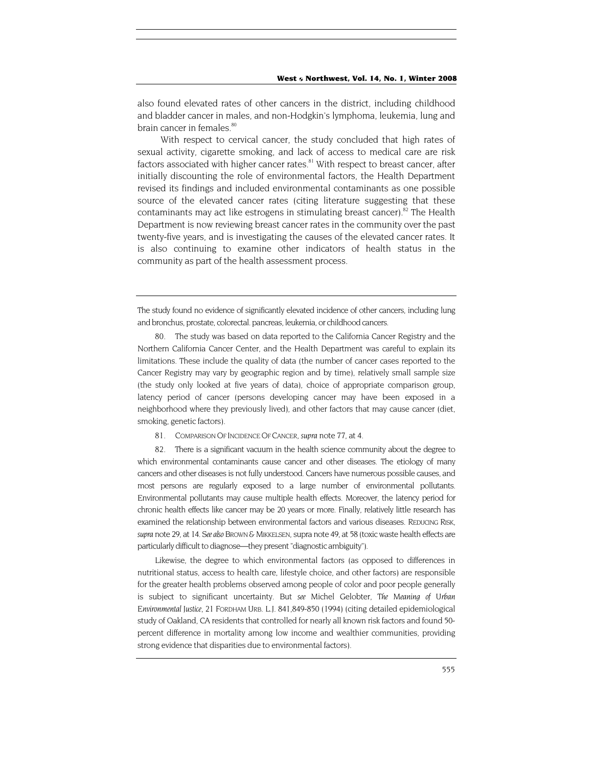also found elevated rates of other cancers in the district, including childhood and bladder cancer in males, and non-Hodgkin's lymphoma, leukemia, lung and brain cancer in females.<sup>80</sup>

With respect to cervical cancer, the study concluded that high rates of sexual activity, cigarette smoking, and lack of access to medical care are risk factors associated with higher cancer rates.<sup>81</sup> With respect to breast cancer, after initially discounting the role of environmental factors, the Health Department revised its findings and included environmental contaminants as one possible source of the elevated cancer rates (citing literature suggesting that these contaminants may act like estrogens in stimulating breast cancer).<sup>82</sup> The Health Department is now reviewing breast cancer rates in the community over the past twenty-five years, and is investigating the causes of the elevated cancer rates. It is also continuing to examine other indicators of health status in the community as part of the health assessment process.

The study found no evidence of significantly elevated incidence of other cancers, including lung and bronchus, prostate, colorectal. pancreas, leukemia, or childhood cancers.

<span id="page-19-0"></span>80. The study was based on data reported to the California Cancer Registry and the Northern California Cancer Center, and the Health Department was careful to explain its limitations. These include the quality of data (the number of cancer cases reported to the Cancer Registry may vary by geographic region and by time), relatively small sample size (the study only looked at five years of data), choice of appropriate comparison group, latency period of cancer (persons developing cancer may have been exposed in a neighborhood where they previously lived), and other factors that may cause cancer (diet, smoking, genetic factors).

<span id="page-19-1"></span>81. COMPARISON OF INCIDENCE OF CANCER, *supra* note 77, at 4.

<span id="page-19-2"></span>There is a significant vacuum in the health science community about the degree to which environmental contaminants cause cancer and other diseases. The etiology of many cancers and other diseases is not fully understood. Cancers have numerous possible causes, and most persons are regularly exposed to a large number of environmental pollutants. Environmental pollutants may cause multiple health effects. Moreover, the latency period for chronic health effects like cancer may be 20 years or more. Finally, relatively little research has examined the relationship between environmental factors and various diseases. REDUCING RISK, *supra* note 29, at 14. *See also* BROWN & MIKKELSEN, supra note 49, at 58 (toxic waste health effects are particularly difficult to diagnose—they present "diagnostic ambiguity").

Likewise, the degree to which environmental factors (as opposed to differences in nutritional status, access to health care, lifestyle choice, and other factors) are responsible for the greater health problems observed among people of color and poor people generally is subject to significant uncertainty. But *see* Michel Gelobter, *The Meaning of Urban Environmental Justice,* 21 FORDHAM URB. L.J. 841,849-850 (1994) (citing detailed epidemiological study of Oakland, CA residents that controlled for nearly all known risk factors and found 50 percent difference in mortality among low income and wealthier communities, providing strong evidence that disparities due to environmental factors).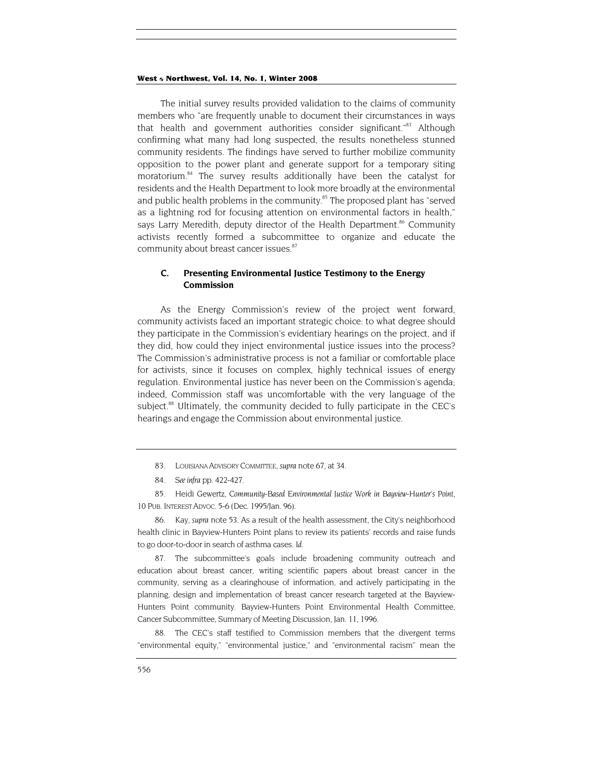<span id="page-20-5"></span>The initial survey results provided validation to the claims of community members who "are frequently unable to document their circumstances in ways that health and government authorities consider significant."<sup>83</sup> Although confirming what many had long suspected, the results nonetheless stunned community residents. The findings have served to further mobilize community opposition to the power plant and generate support for a temporary siting moratorium.<sup>84</sup> The survey results additionally have been the catalyst for residents and the Health Department to look more broadly at the environmental and public health problems in the community.<sup>85</sup> The proposed plant has "served as a lightning rod for focusing attention on environmental factors in health," says Larry Meredith, deputy director of the Health Department.<sup>86</sup> Community activists recently formed a subcommittee to organize and educate the community about breast cancer issues.<sup>[87](#page-20-4)</sup>

# **C. Presenting Environmental Justice Testimony to the Energy Commission**

As the Energy Commission's review of the project went forward, community activists faced an important strategic choice: to what degree should they participate in the Commission's evidentiary hearings on the project, and if they did, how could they inject environmental justice issues into the process? The Commission's administrative process is not a familiar or comfortable place for activists, since it focuses on complex, highly technical issues of energy regulation. Environmental justice has never been on the Commission's agenda; indeed, Commission staff was uncomfortable with the very language of the subject.<sup>88</sup> Ultimately, the community decided to fully participate in the CEC's hearings and engage the Commission about environmental justice.

- <span id="page-20-0"></span>83. LOUISIANA ADVISORY COMMITTEE, *supra* note 67, at 34.
- <span id="page-20-1"></span>84*. See infra* pp. 422-427.

<span id="page-20-2"></span>85. Heidi Gewertz, *Community-Based Environmental Justice Work in Bayview-Hunter's Point,* 10 PUB. INTEREST ADVOC. 5-6 (Dec. 1995/Jan. 96).

<span id="page-20-3"></span>86. Kay, *supra* note 53. As a result of the health assessment, the City's neighborhood health clinic in Bayview-Hunters Point plans to review its patients' records and raise funds to go door-to-door in search of asthma cases. *Id.*

<span id="page-20-4"></span>87. The subcommittee's goals include broadening community outreach and education about breast cancer, writing scientific papers about breast cancer in the community, serving as a clearinghouse of information, and actively participating in the planning, design and implementation of breast cancer research targeted at the Bayview-Hunters Point community. Bayview-Hunters Point Environmental Health Committee, Cancer Subcommittee, Summary of Meeting Discussion, Jan. 11, 1996.

88. The CEC's staff testified to Commission members that the divergent terms "environmental equity," "environmental justice," and "environmental racism" mean the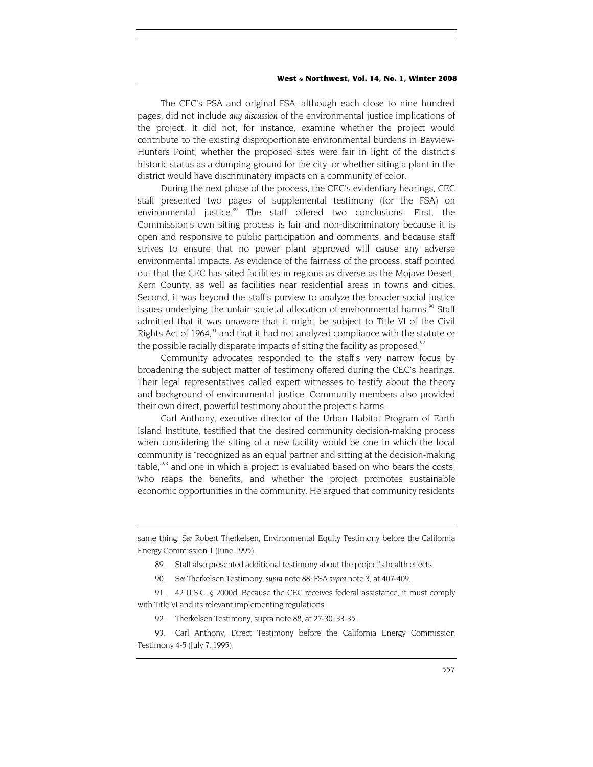The CEC's PSA and original FSA, although each close to nine hundred pages, did not include *any discussion* of the environmental justice implications of the project. It did not, for instance, examine whether the project would contribute to the existing disproportionate environmental burdens in Bayview-Hunters Point, whether the proposed sites were fair in light of the district's historic status as a dumping ground for the city, or whether siting a plant in the district would have discriminatory impacts on a community of color.

During the next phase of the process, the CEC's evidentiary hearings, CEC staff presented two pages of supplemental testimony (for the FSA) on environmental justice.<sup>89</sup> The staff offered two conclusions. First, the Commission's own siting process is fair and non-discriminatory because it is open and responsive to public participation and comments, and because staff strives to ensure that no power plant approved will cause any adverse environmental impacts. As evidence of the fairness of the process, staff pointed out that the CEC has sited facilities in regions as diverse as the Mojave Desert, Kern County, as well as facilities near residential areas in towns and cities. Second, it was beyond the staff's purview to analyze the broader social justice issues underlying the unfair societal allocation of environmental harms.<sup>90</sup> Staff admitted that it was unaware that it might be subject to Title VI of the Civil Rights Act of 1964, $91$  and that it had not analyzed compliance with the statute or the possible racially disparate impacts of siting the facility as proposed.<sup>[92](#page-21-3)</sup>

Community advocates responded to the staff's very narrow focus by broadening the subject matter of testimony offered during the CEC's hearings. Their legal representatives called expert witnesses to testify about the theory and background of environmental justice. Community members also provided their own direct, powerful testimony about the project's harms.

Carl Anthony, executive director of the Urban Habitat Program of Earth Island Institute, testified that the desired community decision-making process when considering the siting of a new facility would be one in which the local community is "recognized as an equal partner and sitting at the decision-making table, $\frac{93}{2}$  and one in which a project is evaluated based on who bears the costs, who reaps the benefits, and whether the project promotes sustainable economic opportunities in the community. He argued that community residents

<span id="page-21-2"></span><span id="page-21-1"></span>91. 42 U.S.C. § 2000d. Because the CEC receives federal assistance, it must comply with Title VI and its relevant implementing regulations.

92. Therkelsen Testimony, supra note 88, at 27-30. 33-35.

<span id="page-21-4"></span><span id="page-21-3"></span>93. Carl Anthony, Direct Testimony before the California Energy Commission Testimony 4-5 (July 7, 1995).

same thing. *See* Robert Therkelsen, Environmental Equity Testimony before the California Energy Commission 1 (June 1995).

<span id="page-21-0"></span><sup>89.</sup> Staff also presented additional testimony about the project's health effects.

<sup>90</sup>*. See* Therkelsen Testimony, *supra* note 88; FSA *supra* note 3, at 407-409.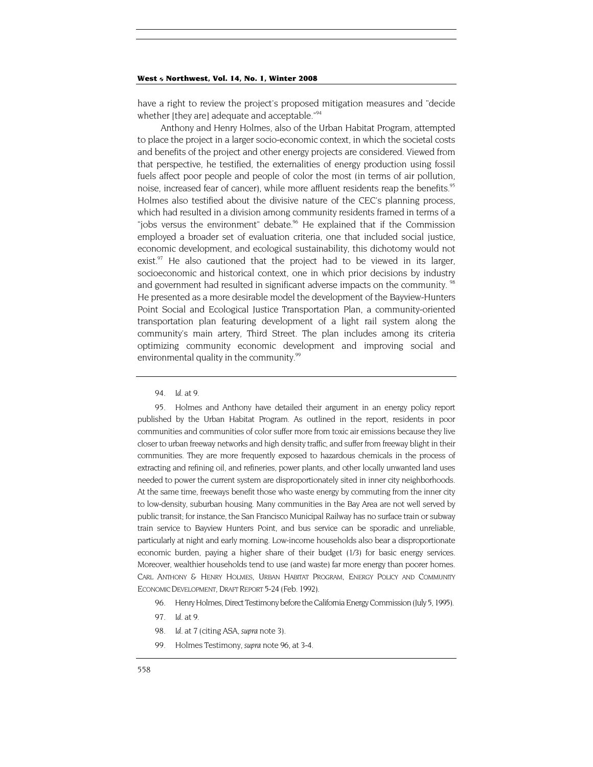have a right to review the project's proposed mitigation measures and "decide whether [they are] adequate and acceptable."<sup>[94](#page-22-0)</sup>

Anthony and Henry Holmes, also of the Urban Habitat Program, attempted to place the project in a larger socio-economic context, in which the societal costs and benefits of the project and other energy projects are considered. Viewed from that perspective, he testified, the externalities of energy production using fossil fuels affect poor people and people of color the most (in terms of air pollution, noise, increased fear of cancer), while more affluent residents reap the benefits.<sup>95</sup> Holmes also testified about the divisive nature of the CEC's planning process, which had resulted in a division among community residents framed in terms of a "jobs versus the environment" debate.<sup>96</sup> He explained that if the Commission employed a broader set of evaluation criteria, one that included social justice, economic development, and ecological sustainability, this dichotomy would not exist.<sup>97</sup> He also cautioned that the project had to be viewed in its larger, socioeconomic and historical context, one in which prior decisions by industry and government had resulted in significant adverse impacts on the community. <sup>98</sup> He presented as a more desirable model the development of the Bayview-Hunters Point Social and Ecological Justice Transportation Plan, a community-oriented transportation plan featuring development of a light rail system along the community's main artery, Third Street. The plan includes among its criteria optimizing community economic development and improving social and environmental quality in the community.<sup>99</sup>

<span id="page-22-1"></span>95. Holmes and Anthony have detailed their argument in an energy policy report published by the Urban Habitat Program. As outlined in the report, residents in poor communities and communities of color suffer more from toxic air emissions because they live closer to urban freeway networks and high density traffic, and suffer from freeway blight in their communities. They are more frequently exposed to hazardous chemicals in the process of extracting and refining oil, and refineries, power plants, and other locally unwanted land uses needed to power the current system are disproportionately sited in inner city neighborhoods. At the same time, freeways benefit those who waste energy by commuting from the inner city to low-density, suburban housing. Many communities in the Bay Area are not well served by public transit; for instance, the San Francisco Municipal Railway has no surface train or subway train service to Bayview Hunters Point, and bus service can be sporadic and unreliable, particularly at night and early morning. Low-income households also bear a disproportionate economic burden, paying a higher share of their budget (1/3) for basic energy services. Moreover, wealthier households tend to use (and waste) far more energy than poorer homes. CARL ANTHONY & HENRY HOLMES, URBAN HABITAT PROGRAM, ENERGY POLICY AND COMMUNITY ECONOMIC DEVELOPMENT, DRAFT REPORT 5-24 (Feb. 1992).

- <span id="page-22-2"></span>96. Henry Holmes, Direct Testimony before the California Energy Commission (July 5, 1995).
- <span id="page-22-3"></span>97*. Id.* at 9.
- <span id="page-22-4"></span>98*. Id.* at *7* (citing ASA, *supra* note 3).
- <span id="page-22-5"></span>99. Holmes Testimony, *supra* note 96, at 3-4.

<span id="page-22-0"></span><sup>94</sup>*. Id.* at 9.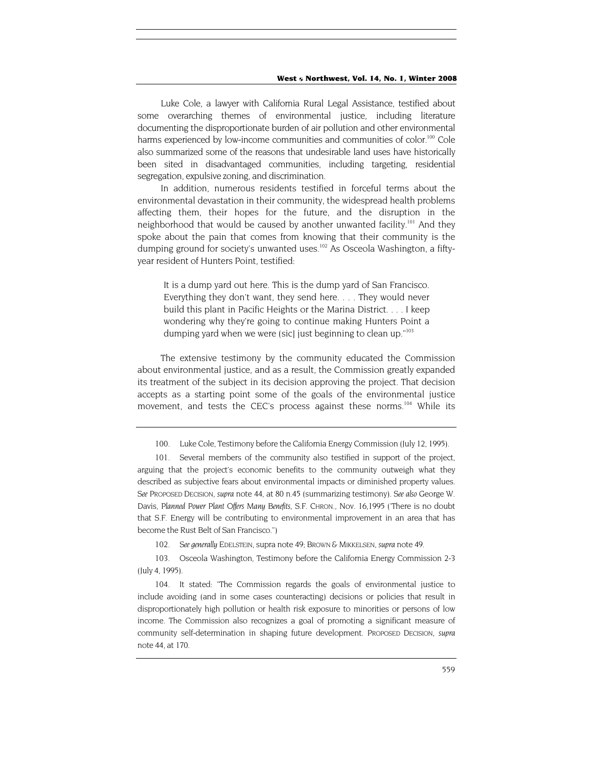Luke Cole, a lawyer with California Rural Legal Assistance, testified about some overarching themes of environmental justice, including literature documenting the disproportionate burden of air pollution and other environmental harms experienced by low-income communities and communities of color.<sup>100</sup> Cole also summarized some of the reasons that undesirable land uses have historically been sited in disadvantaged communities, including targeting, residential segregation, expulsive zoning, and discrimination.

In addition, numerous residents testified in forceful terms about the environmental devastation in their community, the widespread health problems affecting them, their hopes for the future, and the disruption in the neighborhood that would be caused by another unwanted facility.<sup>101</sup> And they spoke about the pain that comes from knowing that their community is the dumping ground for society's unwanted uses.<sup>102</sup> As Osceola Washington, a fiftyyear resident of Hunters Point, testified:

It is a dump yard out here. This is the dump yard of San Francisco. Everything they don't want, they send here. . . . They would never build this plant in Pacific Heights or the Marina District. . . . I keep wondering why they're going to continue making Hunters Point a dumping yard when we were (sic) just beginning to clean up."<sup>103</sup>

The extensive testimony by the community educated the Commission about environmental justice, and as a result, the Commission greatly expanded its treatment of the subject in its decision approving the project. That decision accepts as a starting point some of the goals of the environmental justice movement, and tests the CEC's process against these norms.<sup>104</sup> While its

102*. See generally* EDELSTEIN, supra note 49; BROWN & MIKKELSEN, *supra* note 49.

<span id="page-23-3"></span><span id="page-23-2"></span>103. Osceola Washington, Testimony before the California Energy Commission 2-3 (July 4, 1995).

<span id="page-23-4"></span>104. It stated: "The Commission regards the goals of environmental justice to include avoiding (and in some cases counteracting) decisions or policies that result in disproportionately high pollution or health risk exposure to minorities or persons of low income. The Commission also recognizes a goal of promoting a significant measure of community self-determination in shaping future development. PROPOSED DECISION, *supra*  note 44, at 170.

<sup>100.</sup> Luke Cole, Testimony before the California Energy Commission (July 12, 1995).

<span id="page-23-1"></span><span id="page-23-0"></span><sup>101.</sup> Several members of the community also testified in support of the project, arguing that the project's economic benefits to the community outweigh what they described as subjective fears about environmental impacts or diminished property values. *See* PROPOSED DECISION, *supra* note 44, at 80 n.45 (summarizing testimony). *See also* George W. Davis, *Planned Power Plant Offers Many Benefits,* S.F. CHRON., Nov. 16,1995 ('There is no doubt that S.F. Energy will be contributing to environmental improvement in an area that has become the Rust Belt of San Francisco.")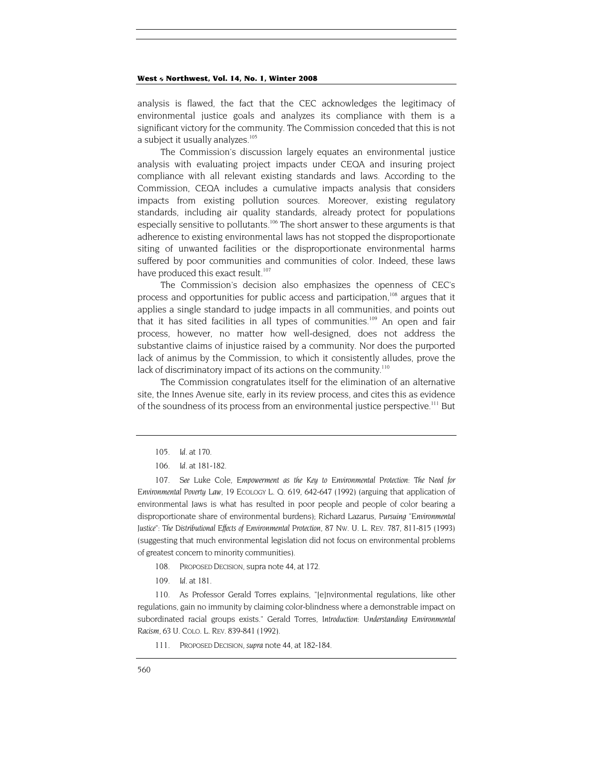analysis is flawed, the fact that the CEC acknowledges the legitimacy of environmental justice goals and analyzes its compliance with them is a significant victory for the community. The Commission conceded that this is not a subject it usually analyzes.<sup>[105](#page-24-0)</sup>

The Commission's discussion largely equates an environmental justice analysis with evaluating project impacts under CEQA and insuring project compliance with all relevant existing standards and laws. According to the Commission, CEQA includes a cumulative impacts analysis that considers impacts from existing pollution sources. Moreover, existing regulatory standards, including air quality standards, already protect for populations especially sensitive to pollutants.<sup>106</sup> The short answer to these arguments is that adherence to existing environmental laws has not stopped the disproportionate siting of unwanted facilities or the disproportionate environmental harms suffered by poor communities and communities of color. Indeed, these laws have produced this exact result.<sup>[107](#page-24-2)</sup>

The Commission's decision also emphasizes the openness of CEC's process and opportunities for public access and participation,<sup>108</sup> argues that it applies a single standard to judge impacts in all communities, and points out that it has sited facilities in all types of communities.<sup>109</sup> An open and fair process, however, no matter how well-designed, does not address the substantive claims of injustice raised by a community. Nor does the purported lack of animus by the Commission, to which it consistently alludes, prove the lack of discriminatory impact of its actions on the community.<sup>110</sup>

The Commission congratulates itself for the elimination of an alternative site, the Innes Avenue site, early in its review process, and cites this as evidence of the soundness of its process from an environmental justice perspective.<sup>111</sup> But

- <span id="page-24-3"></span>108. PROPOSED DECISION, supra note 44, at 172.
- 109*. Id.* at 181.

<span id="page-24-5"></span><span id="page-24-4"></span>110. As Professor Gerald Torres explains, "[e]nvironmental regulations, like other regulations, gain no immunity by claiming color-blindness where a demonstrable impact on subordinated racial groups exists." Gerald Torres, *Introduction: Understanding Environmental Racism,* 63 U. COLO. L. REV. 839-841 (1992).

<span id="page-24-6"></span>111. PROPOSED DECISION, *supra* note 44, at 182-184.

<span id="page-24-0"></span><sup>105</sup>*. Id*. at 170.

<sup>106</sup>*. Id.* at 181-182.

<span id="page-24-2"></span><span id="page-24-1"></span><sup>107</sup>*. See* Luke Cole, *Empowerment as the Key to Environmental Protection: The Need for Environmental Poverty Law,* 19 ECOLOGY L. Q. 619, 642-647 (1992) (arguing that application of environmental Jaws is what has resulted in poor people and people of color bearing a disproportionate share of environmental burdens); Richard Lazarus, *Pursuing "Environmental Justice": The Distributional Effects of Environmental Protection,* 87 NW. U. L. REV. 787, 811-815 (1993) (suggesting that much environmental legislation did not focus on environmental problems of greatest concern to minority communities).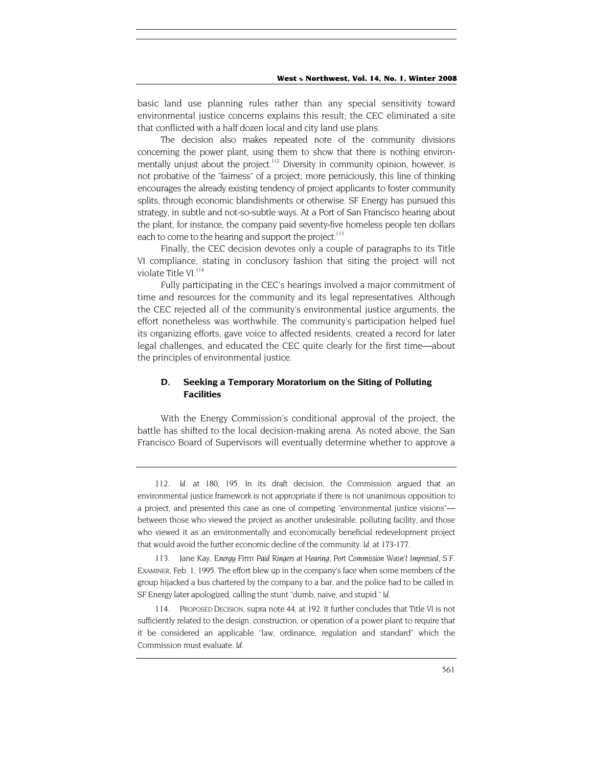basic land use planning rules rather than any special sensitivity toward environmental justice concerns explains this result; the CEC eliminated a site that conflicted with a half dozen local and city land use plans.

The decision also makes repeated note of the community divisions concerning the power plant, using them to show that there is nothing environmentally unjust about the project.<sup>112</sup> Diversity in community opinion, however, is not probative of the "fairness" of a project; more perniciously, this line of thinking encourages the already existing tendency of project applicants to foster community splits, through economic blandishments or otherwise. SF Energy has pursued this strategy, in subtle and not-so-subtle ways. At a Port of San Francisco hearing about the plant, for instance, the company paid seventy-five homeless people ten dollars each to come to the hearing and support the project.<sup>113</sup>

Finally, the CEC decision devotes only a couple of paragraphs to its Title VI compliance, stating in conclusory fashion that siting the project will not violate Title VI.<sup>[114](#page-25-2)</sup>

Fully participating in the CEC's hearings involved a major commitment of time and resources for the community and its legal representatives. Although the CEC rejected all of the community's environmental justice arguments, the effort nonetheless was worthwhile. The community's participation helped fuel its organizing efforts, gave voice to affected residents, created a record for later legal challenges, and educated the CEC quite clearly for the first time—about the principles of environmental justice.

# **D. Seeking a Temporary Moratorium on the Siting of Polluting Facilities**

With the Energy Commission's conditional approval of the project, the battle has shifted to the local decision-making arena. As noted above, the San Francisco Board of Supervisors will eventually determine whether to approve a

<span id="page-25-1"></span>113. Jane Kay, *Energy* Firm *Paid Ringers at Hearing; Port Commission Wasn't Impressed,* S.F. EXAMINER, Feb. 1, 1995. The effort blew up in the company's face when some members of the group hijacked a bus chartered by the company to a bar, and the police had to be called in. SF Energy later apologized, calling the stunt "dumb, naive, and stupid." *Id.*

<span id="page-25-2"></span>114. PROPOSED DECISION, supra note 44, at 192. It further concludes that Title VI is not sufficiently related to the design, construction, or operation of a power plant to require that it be considered an applicable "law, ordinance, regulation and standard" which the Commission must evaluate. *Id.*

<span id="page-25-0"></span><sup>112</sup>*. Id.* at 180, 195. In its draft decision, the Commission argued that an environmental justice framework is not appropriate if there is not unanimous opposition to a project, and presented this case as one of competing "environmental justice visions" between those who viewed the project as another undesirable, polluting facility, and those who viewed it as an environmentally and economically beneficial redevelopment project that would avoid the further economic decline of the community. *Id*. at 173-177.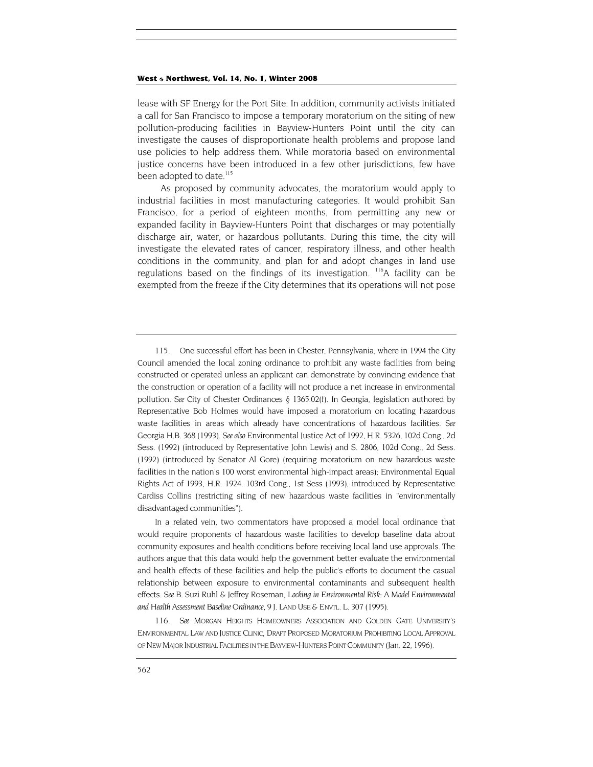lease with SF Energy for the Port Site. In addition, community activists initiated a call for San Francisco to impose a temporary moratorium on the siting of new pollution-producing facilities in Bayview-Hunters Point until the city can investigate the causes of disproportionate health problems and propose land use policies to help address them. While moratoria based on environmental justice concerns have been introduced in a few other jurisdictions, few have been adopted to date.<sup>[115](#page-26-0)</sup>

As proposed by community advocates, the moratorium would apply to industrial facilities in most manufacturing categories. It would prohibit San Francisco, for a period of eighteen months, from permitting any new or expanded facility in Bayview-Hunters Point that discharges or may potentially discharge air, water, or hazardous pollutants. During this time, the city will investigate the elevated rates of cancer, respiratory illness, and other health conditions in the community, and plan for and adopt changes in land use regulations based on the findings of its investigation. <sup>116</sup>A facility can be exempted from the freeze if the City determines that its operations will not pose

In a related vein, two commentators have proposed a model local ordinance that would require proponents of hazardous waste facilities to develop baseline data about community exposures and health conditions before receiving local land use approvals. The authors argue that this data would help the government better evaluate the environmental and health effects of these facilities and help the public's efforts to document the casual relationship between exposure to environmental contaminants and subsequent health effects. *See* B. Suzi Ruhl & Jeffrey Roseman, *Locking in Environmental Risk: A Model Environmental and Health Assessment Baseline Ordinance,* 9 J. LAND USE & ENVTL. L. 307 (1995).

<span id="page-26-1"></span>116*. See* MORGAN HEIGHTS HOMEOWNERS ASSOCIATION AND GOLDEN GATE UNIVERSITY'S ENVIRONMENTAL LAW AND JUSTICE CLINIC, DRAFT PROPOSED MORATORIUM PROHIBITING LOCAL APPROVAL OF NEW MAJOR INDUSTRIAL FACILITIES IN THE BAYVIEW-HUNTERS POINT COMMUNITY (Jan. 22, 1996).

<span id="page-26-0"></span><sup>115.</sup> One successful effort has been in Chester, Pennsylvania, where in 1994 the City Council amended the local zoning ordinance to prohibit any waste facilities from being constructed or operated unless an applicant can demonstrate by convincing evidence that the construction or operation of a facility will not produce a net increase in environmental pollution. *See* City of Chester Ordinances § 1365.02(f). In Georgia, legislation authored by Representative Bob Holmes would have imposed a moratorium on locating hazardous waste facilities in areas which already have concentrations of hazardous facilities. *See*  Georgia H.B. 368 (1993). *See also* Environmental Justice Act of 1992, H.R. 5326, 102d Cong., 2d Sess. (1992) (introduced by Representative John Lewis) and S. 2806, 102d Cong., 2d Sess. (1992) (introduced by Senator Al Gore) (requiring moratorium on new hazardous waste facilities in the nation's 100 worst environmental high-impact areas); Environmental Equal Rights Act of 1993, H.R. 1924. 103rd Cong., 1st Sess (1993), introduced by Representative Cardiss Collins (restricting siting of new hazardous waste facilities in "environmentally disadvantaged communities").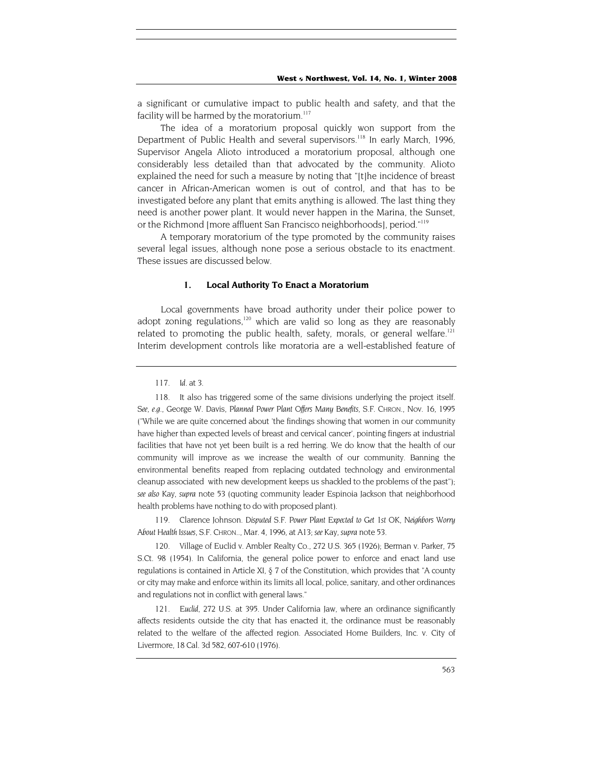a significant or cumulative impact to public health and safety, and that the facility will be harmed by the moratorium.<sup>117</sup>

The idea of a moratorium proposal quickly won support from the Department of Public Health and several supervisors.<sup>118</sup> In early March, 1996, Supervisor Angela Alioto introduced a moratorium proposal, although one considerably less detailed than that advocated by the community. Alioto explained the need for such a measure by noting that "[t]he incidence of breast cancer in African-American women is out of control, and that has to be investigated before any plant that emits anything is allowed. The last thing they need is another power plant. It would never happen in the Marina, the Sunset, or the Richmond [more affluent San Francisco neighborhoods], period."[119](#page-27-2)

A temporary moratorium of the type promoted by the community raises several legal issues, although none pose a serious obstacle to its enactment. These issues are discussed below.

#### **1. Local Authority To Enact a Moratorium**

Local governments have broad authority under their police power to adopt zoning regulations,<sup>120</sup> which are valid so long as they are reasonably related to promoting the public health, safety, morals, or general welfare.<sup>121</sup> Interim development controls like moratoria are a well-established feature of

<span id="page-27-2"></span>119. Clarence Johnson. *Disputed S.F. Power Plant Expected to Get 1st OK, Neighbors Worry About Health Issues,* S.F. CHRON.., Mar. 4, 1996, at A13; *see* Kay, *supra* note 53.

<span id="page-27-3"></span>120. Village of Euclid v. Ambler Realty Co., 272 U.S. 365 (1926); Berman v. Parker, 75 S.Ct. 98 (1954). In California, the general police power to enforce and enact land use regulations is contained in Article XI, § 7 of the Constitution, which provides that "A county or city may make and enforce within its limits all local, police, sanitary, and other ordinances and regulations not in conflict with general laws."

<span id="page-27-4"></span>121*. Euclid,* 272 U.S. at 395. Under California Jaw, where an ordinance significantly affects residents outside the city that has enacted it, the ordinance must be reasonably related to the welfare of the affected region. Associated Home Builders, Inc. v. City of Livermore, 18 Cal. 3d 582, 607-610 (1976).

<span id="page-27-0"></span><sup>117</sup>*. Id.* at 3.

<span id="page-27-1"></span><sup>118.</sup> It also has triggered some of the same divisions underlying the project itself. *See, e.g.,* George W. Davis, *Planned Power Plant Offers Many Benefits,* S.F. CHRON., Nov. 16, 1995 ("While we are quite concerned about 'the findings showing that women in our community have higher than expected levels of breast and cervical cancer', pointing fingers at industrial facilities that have not yet been built is a red herring. We do know that the health of our community will improve as we increase the wealth of our community. Banning the environmental benefits reaped from replacing outdated technology and environmental cleanup associated with new development keeps us shackled to the problems of the past"); *see also* Kay, *supra* note 53 (quoting community leader Espinoia Jackson that neighborhood health problems have nothing to do with proposed plant).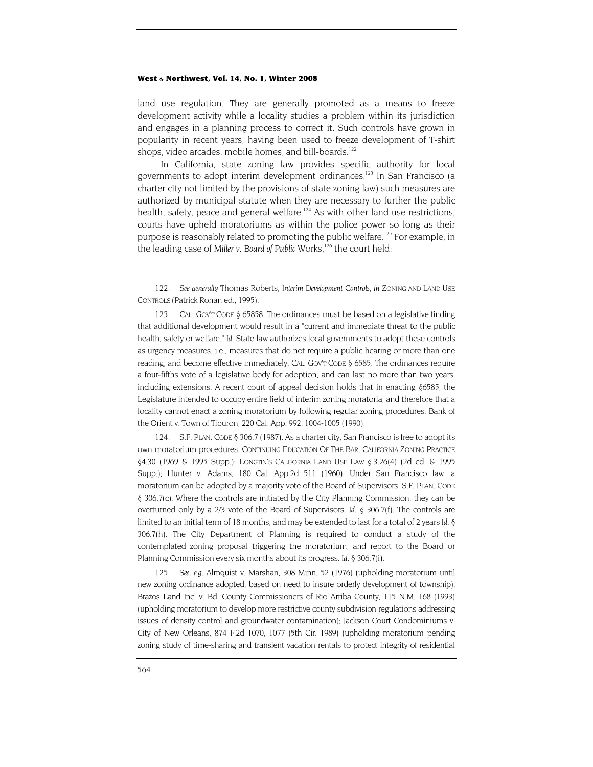<span id="page-28-3"></span>land use regulation. They are generally promoted as a means to freeze development activity while a locality studies a problem within its jurisdiction and engages in a planning process to correct it. Such controls have grown in popularity in recent years, having been used to freeze development of T-shirt shops, video arcades, mobile homes, and bill-boards.<sup>122</sup>

In California, state zoning law provides specific authority for local governments to adopt interim development ordinances.<sup>123</sup> In San Francisco (a charter city not limited by the provisions of state zoning law) such measures are authorized by municipal statute when they are necessary to further the public health, safety, peace and general welfare.<sup>124</sup> As with other land use restrictions, courts have upheld moratoriums as within the police power so long as their purpose is reasonably related to promoting the public welfare.<sup>125</sup> For example, in the leading case of Miller v. Board of Public Works,<sup>126</sup> the court held:

<span id="page-28-1"></span>123. CAL. GOV'T CODE § 65858. The ordinances must be based on a legislative finding that additional development would result in a "current and immediate threat to the public health, safety or welfare." *Id*. State law authorizes local governments to adopt these controls as urgency measures. i.e., measures that do not require a public hearing or more than one reading, and become effective immediately. CAL. GOV'T CODE § 6585. The ordinances require a four-fifths vote of a legislative body for adoption, and can last no more than two years, including extensions. A recent court of appeal decision holds that in enacting §6585, the Legislature intended to occupy entire field of interim zoning moratoria, and therefore that a locality cannot enact a zoning moratorium by following regular zoning procedures. Bank of the Orient v. Town of Tiburon, 220 Cal. App. 992, 1004-1005 (1990).

<span id="page-28-4"></span><span id="page-28-2"></span>124. S.F. PLAN. CODE § 306.7 (1987). As a charter city, San Francisco is free to adopt its own moratorium procedures. CONTINUING EDUCATION OF THE BAR, CALIFORNIA ZONING PRACTICE §4.30 (1969 & 1995 Supp.); LONGTIN'S CALIFORNIA LAND USE LAW § 3.26(4) (2d ed. & 1995 Supp.); Hunter v. Adams, 180 Cal. App.2d 511 (1960). Under San Francisco law, a moratorium can be adopted by a majority vote of the Board of Supervisors. S.F. PLAN. CODE § 306.7(c). Where the controls are initiated by the City Planning Commission, they can be overturned only by a 2/3 vote of the Board of Supervisors. *Id*. § 306.7(f). The controls are limited to an initial term of 18 months, and may be extended to last for a total of 2 years *Id*. § 306.7(h). The City Department of Planning is required to conduct a study of the contemplated zoning proposal triggering the moratorium, and report to the Board or Planning Commission every six months about its progress. *Id.* § 306.7(i).

125*. See, e.g.* Almquist v. Marshan, 308 Minn. 52 (1976) (upholding moratorium until new zoning ordinance adopted, based on need to insure orderly development of township); Brazos Land Inc. v. Bd. County Commissioners of Rio Arriba County, 115 N.M. 168 (1993) (upholding moratorium to develop more restrictive county subdivision regulations addressing issues of density control and groundwater contamination); Jackson Court Condominiums v. City of New Orleans, 874 F.2d 1070, 1077 (5th Cir. 1989) (upholding moratorium pending zoning study of time-sharing and transient vacation rentals to protect integrity of residential

<span id="page-28-0"></span><sup>122</sup>*. See generally* Thomas Roberts, *Interim Development Controls*, *in* ZONING AND LAND USE CONTROLS (Patrick Rohan ed., 1995).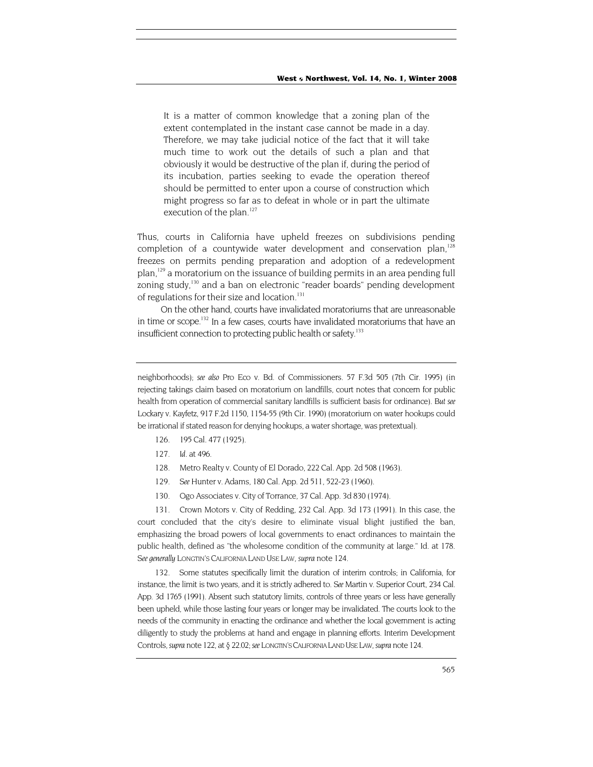It is a matter of common knowledge that a zoning plan of the extent contemplated in the instant case cannot be made in a day. Therefore, we may take judicial notice of the fact that it will take much time to work out the details of such a plan and that obviously it would be destructive of the plan if, during the period of its incubation, parties seeking to evade the operation thereof should be permitted to enter upon a course of construction which might progress so far as to defeat in whole or in part the ultimate execution of the plan. $127$ 

Thus, courts in California have upheld freezes on subdivisions pending completion of a countywide water development and conservation plan, $128$ freezes on permits pending preparation and adoption of a redevelopment plan,<sup>129</sup> a moratorium on the issuance of building permits in an area pending full zoning study,<sup>130</sup> and a ban on electronic "reader boards" pending development of regulations for their size and location.<sup>[131](#page-29-4)</sup>

On the other hand, courts have invalidated moratoriums that are unreasonable in time or scope.<sup>132</sup> In a few cases, courts have invalidated moratoriums that have an insufficient connection to protecting public health or safety.<sup>[133](#page-29-6)</sup>

neighborhoods); *see also* Pro Eco v. Bd. of Commissioners. 57 F.3d 505 (7th Cir. 1995) (in rejecting takings claim based on moratorium on landfills, court notes that concern for public health from operation of commercial sanitary landfills is sufficient basis for ordinance). *But see*  Lockary v. Kayfetz, 917 F.2d 1150, 1154-55 (9th Cir. 1990) (moratorium on water hookups could be irrational if stated reason for denying hookups, a water shortage, was pretextual).

- <span id="page-29-6"></span>126. 195 Cal. 477 (1925).
- <span id="page-29-0"></span>127*. Id.* at 496.
- <span id="page-29-1"></span>128. Metro Realty v. County of El Dorado, 222 Cal. App. 2d 508 (1963).
- <span id="page-29-2"></span>129*. See* Hunter v. Adams, 180 Cal. App. 2d 511, 522-23 (1960).
- 130. Ogo Associates v. City of Torrance, 37 Cal. App. 3d 830 (1974).

<span id="page-29-4"></span><span id="page-29-3"></span>131. Crown Motors v. City of Redding, 232 Cal. App. 3d 173 (1991). In this case, the court concluded that the city's desire to eliminate visual blight justified the ban, emphasizing the broad powers of local governments to enact ordinances to maintain the public health, defined as "the wholesome condition of the community at large." Id. at 178. *See generally* LONGTIN'S CALIFORNIA LAND USE LAW, *supra* note 124.

<span id="page-29-5"></span>132. Some statutes specifically limit the duration of interim controls; in California, for instance, the limit is two years, and it is strictly adhered to. *See* Martin v. Superior Court, 234 Cal. App. 3d 1765 (1991). Absent such statutory limits, controls of three years or less have generally been upheld, while those lasting four years or longer may be invalidated. The courts look to the needs of the community in enacting the ordinance and whether the local government is acting diligently to study the problems at hand and engage in planning efforts. Interim Development Controls, *supra* note 122, at § 22.02; *see* LONGTIN'S CALIFORNIA LAND USE LAW, *supra* note 124.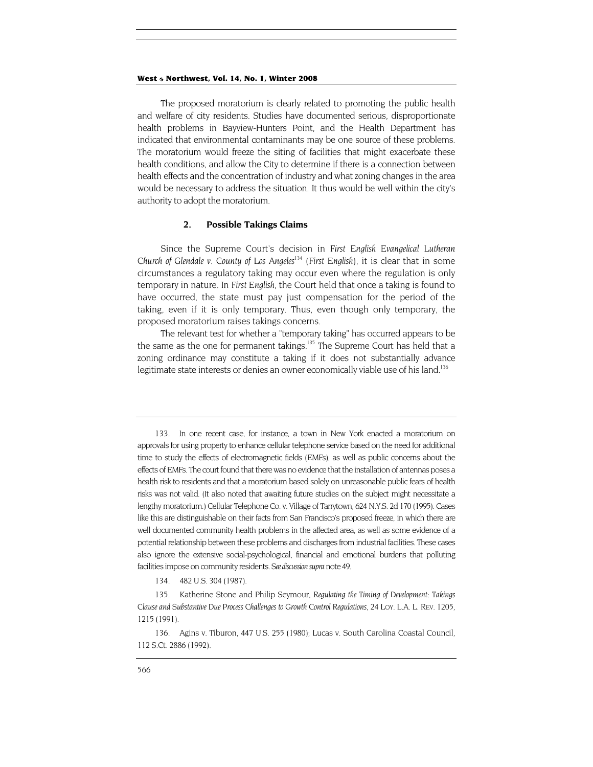The proposed moratorium is clearly related to promoting the public health and welfare of city residents. Studies have documented serious, disproportionate health problems in Bayview-Hunters Point, and the Health Department has indicated that environmental contaminants may be one source of these problems. The moratorium would freeze the siting of facilities that might exacerbate these health conditions, and allow the City to determine if there is a connection between health effects and the concentration of industry and what zoning changes in the area would be necessary to address the situation. It thus would be well within the city's authority to adopt the moratorium.

#### **2. Possible Takings Claims**

Since the Supreme Court's decision in *First English Evangelical Lutheran Church of Glendale v. County of Los Angeles*[134](#page-30-0) (*First English),* it is clear that in some circumstances a regulatory taking may occur even where the regulation is only temporary in nature. In *First English,* the Court held that once a taking is found to have occurred, the state must pay just compensation for the period of the taking, even if it is only temporary. Thus, even though only temporary, the proposed moratorium raises takings concerns.

The relevant test for whether a "temporary taking" has occurred appears to be the same as the one for permanent takings.<sup>135</sup> The Supreme Court has held that a zoning ordinance may constitute a taking if it does not substantially advance legitimate state interests or denies an owner economically viable use of his land.<sup>136</sup>

<sup>133.</sup> In one recent case, for instance, a town in New York enacted a moratorium on approvals for using property to enhance cellular telephone service based on the need for additional time to study the effects of electromagnetic fields (EMFs), as well as public concerns about the effects of EMFs. The court found that there was no evidence that the installation of antennas poses a health risk to residents and that a moratorium based solely on unreasonable public fears of health risks was not valid. (It also noted that awaiting future studies on the subject might necessitate a lengthy moratorium.) Cellular Telephone Co. v. Village of Tarrytown, 624 N.Y.S. 2d 170 (1995). Cases like this are distinguishable on their facts from San Francisco's proposed freeze, in which there are well documented community health problems in the affected area, as well as some evidence of a potential relationship between these problems and discharges from industrial facilities. These cases also ignore the extensive social-psychological, financial and emotional burdens that polluting facilities impose on community residents. *See discussion supra* note 49.

<sup>134.</sup> 482 U.S. 304 (1987).

<span id="page-30-1"></span><span id="page-30-0"></span><sup>135.</sup> Katherine Stone and Philip Seymour, *Regulating the Timing of Development: Takings Clause and Substantive Due Process Challenges to Growth Control Regulations*, 24 LOY. L.A. L. REV. 1205, 1215 (1991).

<span id="page-30-2"></span><sup>136.</sup> Agins v. Tiburon, 447 U.S. 255 (1980); Lucas v. South Carolina Coastal Council, 112 S.Ct. 2886 (1992).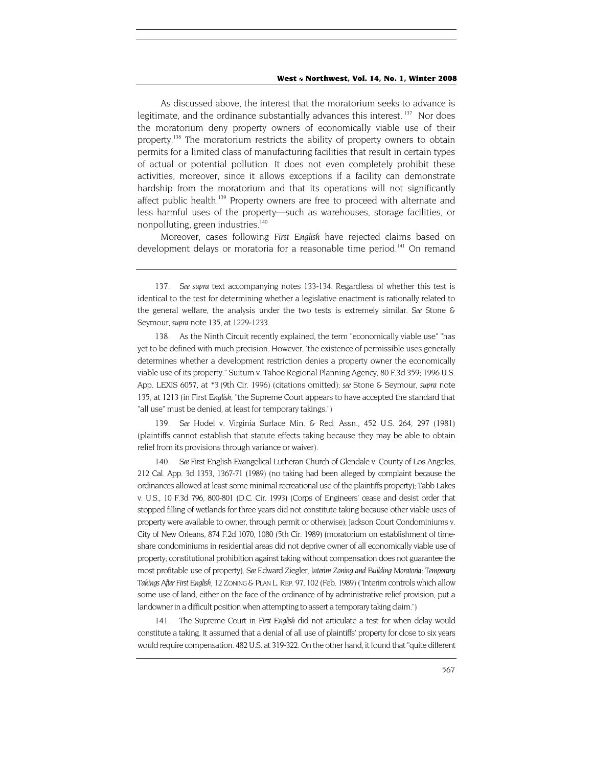<span id="page-31-4"></span>As discussed above, the interest that the moratorium seeks to advance is legitimate, and the ordinance substantially advances this interest.<sup>137</sup> Nor does the moratorium deny property owners of economically viable use of their property.<sup>138</sup> The moratorium restricts the ability of property owners to obtain permits for a limited class of manufacturing facilities that result in certain types of actual or potential pollution. It does not even completely prohibit these activities, moreover, since it allows exceptions if a facility can demonstrate hardship from the moratorium and that its operations will not significantly affect public health.<sup>139</sup> Property owners are free to proceed with alternate and less harmful uses of the property—such as warehouses, storage facilities, or nonpolluting, green industries.<sup>140</sup>

Moreover, cases following *First English* have rejected claims based on development delays or moratoria for a reasonable time period.<sup>141</sup> On remand

<span id="page-31-1"></span>138. As the Ninth Circuit recently explained, the term "economically viable use" "has yet to be defined with much precision. However, 'the existence of permissible uses generally determines whether a development restriction denies a property owner the economically viable use of its property." Suitum v. Tahoe Regional Planning Agency, 80 F.3d 359; 1996 U.S. App. LEXIS 6057, at \*3 (9th Cir. 1996) (citations omitted); *see* Stone & Seymour, *supra* note 135, at 1213 (in First *English,* "the Supreme Court appears to have accepted the standard that "all use" must be denied, at least for temporary takings.")

<span id="page-31-2"></span>139*. See* Hodel v. Virginia Surface Min. & Red. Assn., 452 U.S. 264, 297 (1981) (plaintiffs cannot establish that statute effects taking because they may be able to obtain relief from its provisions through variance or waiver).

<span id="page-31-3"></span>140*. See* First English Evangelical Lutheran Church of Glendale v. County of Los Angeles, 212 Cal. App. 3d 1353, 1367-71 (1989) (no taking had been alleged by complaint because the ordinances allowed at least some minimal recreational use of the plaintiffs property); Tabb Lakes v. U.S., 10 F.3d 796, 800-801 (D.C. Cir. 1993) (Corps of Engineers' cease and desist order that stopped filling of wetlands for three years did not constitute taking because other viable uses of property were available to owner, through permit or otherwise); Jackson Court Condominiums v. City of New Orleans, 874 F.2d 1070, 1080 (5th Cir. 1989) (moratorium on establishment of timeshare condominiums in residential areas did not deprive owner of all economically viable use of property; constitutional prohibition against taking without compensation does not guarantee the most profitable use of property). *See* Edward Ziegler, *Interim Zoning and Building Moratoria*: *Temporary Takings After First English*, 12 ZONING & PLAN L. REP. 97, 102 (Feb. 1989) ("Interim controls which allow some use of land, either on the face of the ordinance of by administrative relief provision, put a landowner in a difficult position when attempting to assert a temporary taking claim.")

141. The Supreme Court in *First English* did not articulate a test for when delay would constitute a taking. It assumed that a denial of all use of plaintiffs' property for close to six years would require compensation. 482 U.S. at 319-322. On the other hand, it found that "quite different

<span id="page-31-0"></span><sup>137</sup>*. See supra* text accompanying notes 133-134. Regardless of whether this test is identical to the test for determining whether a legislative enactment is rationally related to the general welfare, the analysis under the two tests is extremely similar. *See* Stone & Seymour, *supra* note 135, at 1229-1233.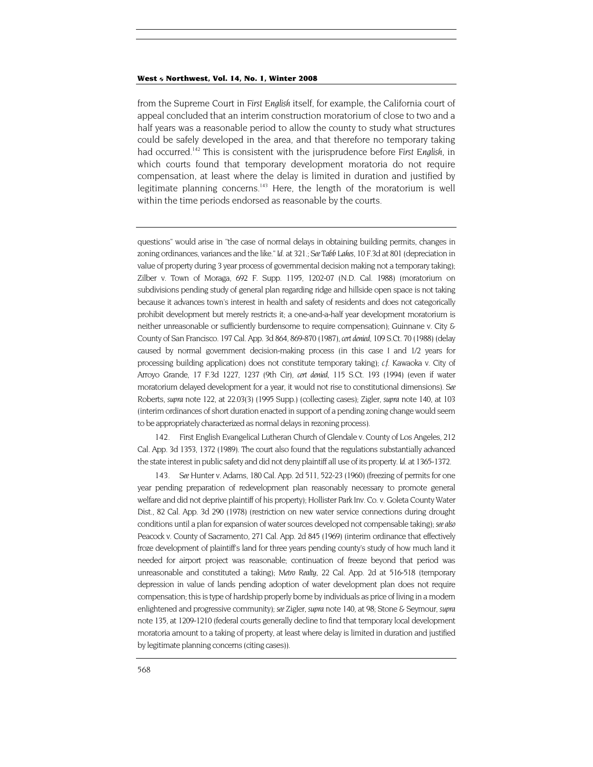from the Supreme Court in *First English* itself, for example, the California court of appeal concluded that an interim construction moratorium of close to two and a half years was a reasonable period to allow the county to study what structures could be safely developed in the area, and that therefore no temporary taking had occurred.[142](#page-32-0) This is consistent with the jurisprudence before *First English*, in which courts found that temporary development moratoria do not require compensation, at least where the delay is limited in duration and justified by legitimate planning concerns.<sup>143</sup> Here, the length of the moratorium is well within the time periods endorsed as reasonable by the courts.

questions" would arise in "the case of normal delays in obtaining building permits, changes in zoning ordinances, variances and the like." *Id.* at 321.; *See Tabb Lakes,* 10 F.3d at 801 (depreciation in value of property during 3 year process of governmental decision making not a temporary taking); Zilber v. Town of Moraga, 692 F. Supp. 1195, 1202-07 (N.D. Cal. 1988) (moratorium on subdivisions pending study of general plan regarding ridge and hillside open space is not taking because it advances town's interest in health and safety of residents and does not categorically prohibit development but merely restricts it; a one-and-a-half year development moratorium is neither unreasonable or sufficiently burdensome to require compensation); Guinnane v. City & County of San Francisco. 197 Cal. App. 3d 864, 869-870 (1987), *cert denied,* 109 S.Ct. 70 (1988) (delay caused by normal government decision-making process (in this case I and 1/2 years for processing building application) does not constitute temporary taking); *c.f.* Kawaoka v. City of Arroyo Grande, 17 F.3d 1227, 1237 (9th Cir), *cert denied,* 115 S.Ct. 193 (1994) (even if water moratorium delayed development for a year, it would not rise to constitutional dimensions). *See* Roberts, *supra* note 122, at 22.03(3) (1995 Supp.) (collecting cases); Zigler, *supra* note 140, at 103 (interim ordinances of short duration enacted in support of a pending zoning change would seem to be appropriately characterized as normal delays in rezoning process).

<span id="page-32-0"></span>142. First English Evangelical Lutheran Church of Glendale v. County of Los Angeles, 212 Cal. App. 3d 1353, 1372 (1989). The court also found that the regulations substantially advanced the state interest in public safety and did not deny plaintiff all use of its property. *Id.* at 1365-1372.

<span id="page-32-1"></span>143*. See* Hunter v. Adams, 180 Cal. App. 2d 511, 522-23 (1960) (freezing of permits for one year pending preparation of redevelopment plan reasonably necessary to promote general welfare and did not deprive plaintiff of his property); Hollister Park Inv. Co. v. Goleta County Water Dist., 82 Cal. App. 3d 290 (1978) (restriction on new water service connections during drought conditions until a plan for expansion of water sources developed not compensable taking); *see also*  Peacock v. County of Sacramento, 271 Cal. App. 2d 845 (1969) (interim ordinance that effectively froze development of plaintiff's land for three years pending county's study of how much land it needed for airport project was reasonable; continuation of freeze beyond that period was unreasonable and constituted a taking); *Metro Realty,* 22 Cal. App. 2d at 516-518 (temporary depression in value of lands pending adoption of water development plan does not require compensation; this is type of hardship properly borne by individuals as price of living in a modern enlightened and progressive community); *see* Zigler, *supra* note 140, at 98; Stone & Seymour, *supra*  note 135, at 1209-1210 (federal courts generally decline to find that temporary local development moratoria amount to a taking of property, at least where delay is limited in duration and justified by legitimate planning concerns (citing cases)).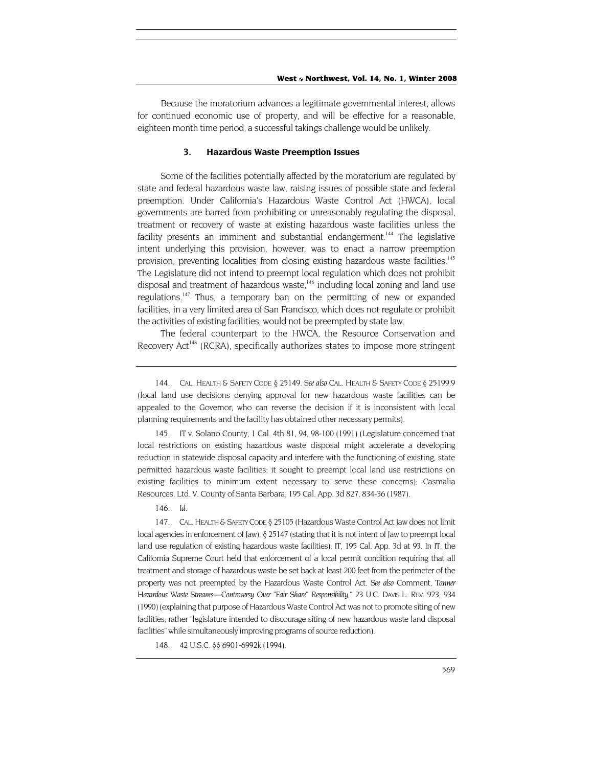Because the moratorium advances a legitimate governmental interest, allows for continued economic use of property, and will be effective for a reasonable, eighteen month time period, a successful takings challenge would be unlikely.

#### **3. Hazardous Waste Preemption Issues**

Some of the facilities potentially affected by the moratorium are regulated by state and federal hazardous waste law, raising issues of possible state and federal preemption. Under California's Hazardous Waste Control Act (HWCA), local governments are barred from prohibiting or unreasonably regulating the disposal, treatment or recovery of waste at existing hazardous waste facilities unless the facility presents an imminent and substantial endangerment.<sup>144</sup> The legislative intent underlying this provision, however, was to enact a narrow preemption provision, preventing localities from closing existing hazardous waste facilities.<sup>145</sup> The Legislature did not intend to preempt local regulation which does not prohibit disposal and treatment of hazardous waste,<sup>146</sup> including local zoning and land use regulations.<sup>147</sup> Thus, a temporary ban on the permitting of new or expanded facilities, in a very limited area of San Francisco, which does not regulate or prohibit the activities of existing facilities, would not be preempted by state law.

The federal counterpart to the HWCA, the Resource Conservation and Recovery Act<sup>148</sup> (RCRA), specifically authorizes states to impose more stringent

<span id="page-33-1"></span>145. IT v. Solano County, 1 Cal. 4th 81, 94, 98-100 (1991) (Legislature concerned that local restrictions on existing hazardous waste disposal might accelerate a developing reduction in statewide disposal capacity and interfere with the functioning of existing, state permitted hazardous waste facilities; it sought to preempt local land use restrictions on existing facilities to minimum extent necessary to serve these concerns); Casmalia Resources, Ltd. V. County of Santa Barbara, 195 Cal. App. 3d 827, 834-36 (1987).

146*. Id.*

<span id="page-33-3"></span><span id="page-33-2"></span>147. CAL. HEALTH & SAFETY CODE § 25105 (Hazardous Waste Control Act Jaw does not limit local agencies in enforcement of Jaw),  $\delta$  25147 (stating that it is not intent of Jaw to preempt local land use regulation of existing hazardous waste facilities); IT, 195 Cal. App. 3d at 93. In IT, the California Supreme Court held that enforcement of a local permit condition requiring that all treatment and storage of hazardous waste be set back at least 200 feet from the perimeter of the property was not preempted by the Hazardous Waste Control Act. *See also* Comment, *Tanner Hazardous Waste Streams—Controversy Over "Fair Share" Responsibility,"* 23 U.C. DAVIS L. REV. 923, 934 (1990) (explaining that purpose of Hazardous Waste Control Act was not to promote siting of new facilities; rather "legislature intended to discourage siting of new hazardous waste land disposal facilities" while simultaneously improving programs of source reduction).

<span id="page-33-4"></span>148. 42 U.S.C. §§ 6901-6992k (1994).

<span id="page-33-0"></span><sup>144.</sup> CAL. HEALTH & SAFETY CODE § 25149. *See also* CAL. HEALTH & SAFETY CODE § 25199.9 (local land use decisions denying approval for new hazardous waste facilities can be appealed to the Governor, who can reverse the decision if it is inconsistent with local planning requirements and the facility has obtained other necessary permits).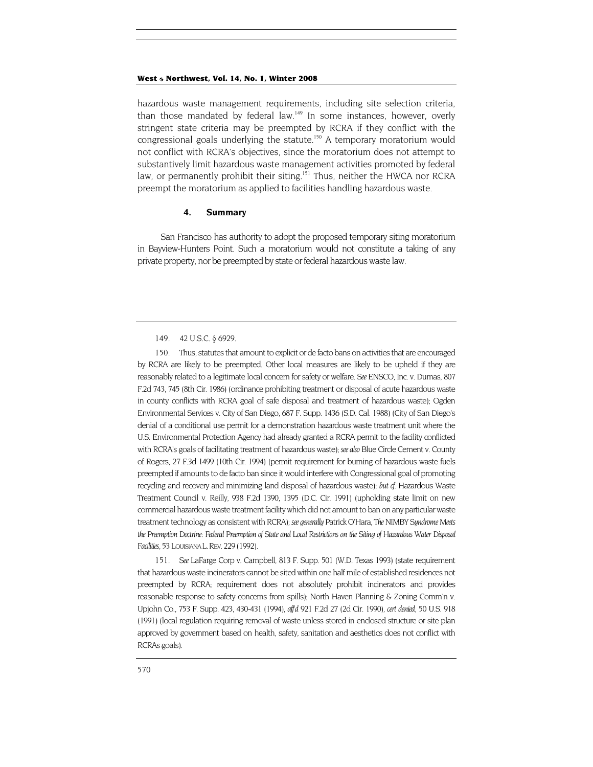hazardous waste management requirements, including site selection criteria, than those mandated by federal law.<sup>149</sup> In some instances, however, overly stringent state criteria may be preempted by RCRA if they conflict with the congressional goals underlying the statute.<sup>150</sup> A temporary moratorium would not conflict with RCRA's objectives, since the moratorium does not attempt to substantively limit hazardous waste management activities promoted by federal law, or permanently prohibit their siting.<sup>151</sup> Thus, neither the HWCA nor RCRA preempt the moratorium as applied to facilities handling hazardous waste.

#### **4. Summary**

San Francisco has authority to adopt the proposed temporary siting moratorium in Bayview-Hunters Point. Such a moratorium would not constitute a taking of any private property, nor be preempted by state or federal hazardous waste law.

<span id="page-34-1"></span><span id="page-34-0"></span>150. Thus, statutes that amount to explicit or de facto bans on activities that are encouraged by RCRA are likely to be preempted. Other local measures are likely to be upheld if they are reasonably related to a legitimate local concern for safety or welfare. *See* ENSCO, Inc. v. Dumas, 807 F.2d 743, 745 (8th Cir. 1986) (ordinance prohibiting treatment or disposal of acute hazardous waste in county conflicts with RCRA goal of safe disposal and treatment of hazardous waste); Ogden Environmental Services v. City of San Diego, 687 F. Supp. 1436 (S.D. Cal. 1988) (City of San Diego's denial of a conditional use permit for a demonstration hazardous waste treatment unit where the U.S. Environmental Protection Agency had already granted a RCRA permit to the facility conflicted with RCRA's goals of facilitating treatment of hazardous waste); *see also* Blue Circle Cement v. County of Rogers, 27 F.3d 1499 (10th Cir. 1994) (permit requirement for burning of hazardous waste fuels preempted if amounts to de facto ban since it would interfere with Congressional goal of promoting recycling and recovery and minimizing land disposal of hazardous waste); *but cf.* Hazardous Waste Treatment Council v. Reilly, 938 F.2d 1390, 1395 (D.C. Cir. 1991) (upholding state limit on new commercial hazardous waste treatment facility which did not amount to ban on any particular waste treatment technology as consistent with RCRA); *see generally* Patrick O'Hara, *The NIMBY Syndrome Meets the Preemption Doctrine: Federal Preemption of State and Local Restrictions on the Siting of Hazardous Water Disposal Facilities,* 53 LOUISIANA L.REV. 229 (1992).

<span id="page-34-2"></span>151*. See* LaFarge Corp v. Campbell, 813 F. Supp. 501 (W.D. Texas 1993) (state requirement that hazardous waste incinerators cannot be sited within one half mile of established residences not preempted by RCRA; requirement does not absolutely prohibit incinerators and provides reasonable response to safety concerns from spills); North Haven Planning & Zoning Comm'n v. Upjohn Co., 753 F. Supp. 423, 430-431 (1994), *aff'd* 921 F.2d 27 (2d Cir. 1990), *cert denied,* 50 U.S. 918 (1991) (local regulation requiring removal of waste unless stored in enclosed structure or site plan approved by government based on health, safety, sanitation and aesthetics does not conflict with RCRAs goals).

<sup>149. 42</sup> U.S.C. § 6929.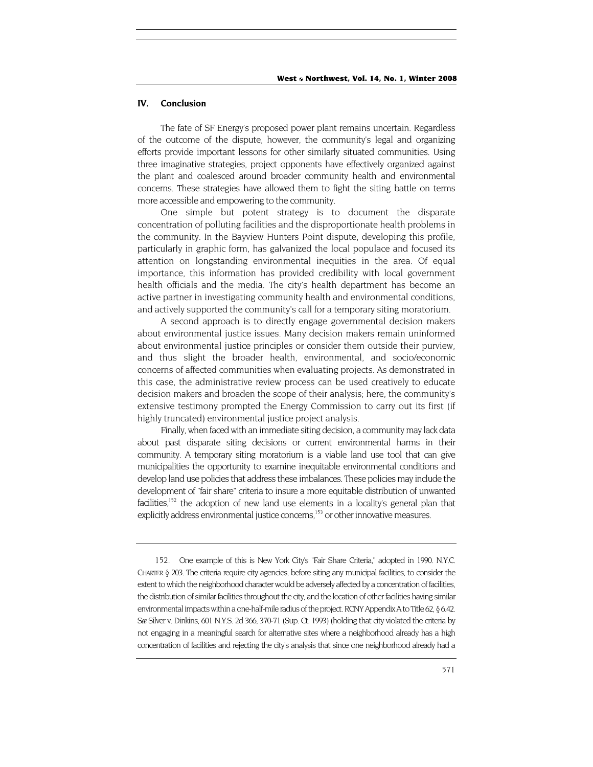#### <span id="page-35-0"></span>**IV. Conclusion**

The fate of SF Energy's proposed power plant remains uncertain. Regardless of the outcome of the dispute, however, the community's legal and organizing efforts provide important lessons for other similarly situated communities. Using three imaginative strategies, project opponents have effectively organized against the plant and coalesced around broader community health and environmental concerns. These strategies have allowed them to fight the siting battle on terms more accessible and empowering to the community.

One simple but potent strategy is to document the disparate concentration of polluting facilities and the disproportionate health problems in the community. In the Bayview Hunters Point dispute, developing this profile, particularly in graphic form, has galvanized the local populace and focused its attention on longstanding environmental inequities in the area. Of equal importance, this information has provided credibility with local government health officials and the media. The city's health department has become an active partner in investigating community health and environmental conditions, and actively supported the community's call for a temporary siting moratorium.

A second approach is to directly engage governmental decision makers about environmental justice issues. Many decision makers remain uninformed about environmental justice principles or consider them outside their purview, and thus slight the broader health, environmental, and socio/economic concerns of affected communities when evaluating projects. As demonstrated in this case, the administrative review process can be used creatively to educate decision makers and broaden the scope of their analysis; here, the community's extensive testimony prompted the Energy Commission to carry out its first (if highly truncated) environmental justice project analysis.

Finally, when faced with an immediate siting decision, a community may lack data about past disparate siting decisions or current environmental harms in their community. A temporary siting moratorium is a viable land use tool that can give municipalities the opportunity to examine inequitable environmental conditions and develop land use policies that address these imbalances. These policies may include the development of "fair share" criteria to insure a more equitable distribution of unwanted facilities,<sup>152</sup> the adoption of new land use elements in a locality's general plan that explicitly address environmental justice concerns,<sup>153</sup> or other innovative measures.

<span id="page-35-1"></span><sup>152.</sup> One example of this is New York City's "Fair Share Criteria," adopted in 1990. N.Y.C. CHARTER § 203. The criteria require city agencies, before siting any municipal facilities, to consider the extent to which the neighborhood character would be adversely affected by a concentration of facilities, the distribution of similar facilities throughout the city, and the location of other facilities having similar environmental impacts within a one-half-mile radius of the project. RCNY Appendix A to Title 62, § 6.42. *See* Silver v. Dinkins, 601 N.Y.S. 2d 366, 370-71 (Sup. Ct. 1993) (holding that city violated the criteria by not engaging in a meaningful search for alternative sites where a neighborhood already has a high concentration of facilities and rejecting the city's analysis that since one neighborhood already had a